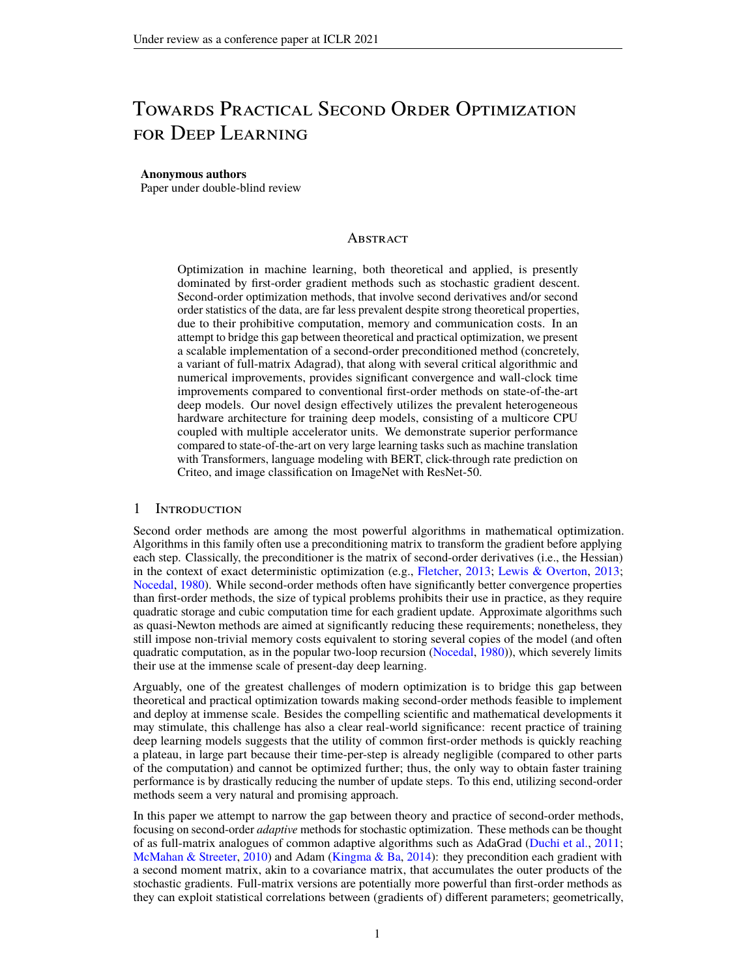# Towards Practical Second Order Optimization for Deep Learning

#### **Anonymous authors**

Paper under double-blind review

# **ABSTRACT**

Optimization in machine learning, both theoretical and applied, is presently dominated by first-order gradient methods such as stochastic gradient descent. Second-order optimization methods, that involve second derivatives and/or second order statistics of the data, are far less prevalent despite strong theoretical properties, due to their prohibitive computation, memory and communication costs. In an attempt to bridge this gap between theoretical and practical optimization, we present a scalable implementation of a second-order preconditioned method (concretely, a variant of full-matrix Adagrad), that along with several critical algorithmic and numerical improvements, provides significant convergence and wall-clock time improvements compared to conventional first-order methods on state-of-the-art deep models. Our novel design effectively utilizes the prevalent heterogeneous hardware architecture for training deep models, consisting of a multicore CPU coupled with multiple accelerator units. We demonstrate superior performance compared to state-of-the-art on very large learning tasks such as machine translation with Transformers, language modeling with BERT, click-through rate prediction on Criteo, and image classification on ImageNet with ResNet-50.

# 1 Introduction

Second order methods are among the most powerful algorithms in mathematical optimization. Algorithms in this family often use a preconditioning matrix to transform the gradient before applying each step. Classically, the preconditioner is the matrix of second-order derivatives (i.e., the Hessian) in the context of exact deterministic optimization (e.g., [Fletcher,](#page-9-0) [2013;](#page-9-0) [Lewis & Overton,](#page-10-0) [2013;](#page-10-0) [Nocedal,](#page-10-1) [1980\)](#page-10-1). While second-order methods often have significantly better convergence properties than first-order methods, the size of typical problems prohibits their use in practice, as they require quadratic storage and cubic computation time for each gradient update. Approximate algorithms such as quasi-Newton methods are aimed at significantly reducing these requirements; nonetheless, they still impose non-trivial memory costs equivalent to storing several copies of the model (and often quadratic computation, as in the popular two-loop recursion [\(Nocedal,](#page-10-1) [1980\)](#page-10-1)), which severely limits their use at the immense scale of present-day deep learning.

Arguably, one of the greatest challenges of modern optimization is to bridge this gap between theoretical and practical optimization towards making second-order methods feasible to implement and deploy at immense scale. Besides the compelling scientific and mathematical developments it may stimulate, this challenge has also a clear real-world significance: recent practice of training deep learning models suggests that the utility of common first-order methods is quickly reaching a plateau, in large part because their time-per-step is already negligible (compared to other parts of the computation) and cannot be optimized further; thus, the only way to obtain faster training performance is by drastically reducing the number of update steps. To this end, utilizing second-order methods seem a very natural and promising approach.

In this paper we attempt to narrow the gap between theory and practice of second-order methods, focusing on second-order *adaptive* methods for stochastic optimization. These methods can be thought of as full-matrix analogues of common adaptive algorithms such as AdaGrad [\(Duchi et al.,](#page-9-1) [2011;](#page-9-1) [McMahan & Streeter,](#page-10-2) [2010\)](#page-10-2) and Adam [\(Kingma & Ba,](#page-10-3) [2014\)](#page-10-3): they precondition each gradient with a second moment matrix, akin to a covariance matrix, that accumulates the outer products of the stochastic gradients. Full-matrix versions are potentially more powerful than first-order methods as they can exploit statistical correlations between (gradients of) different parameters; geometrically,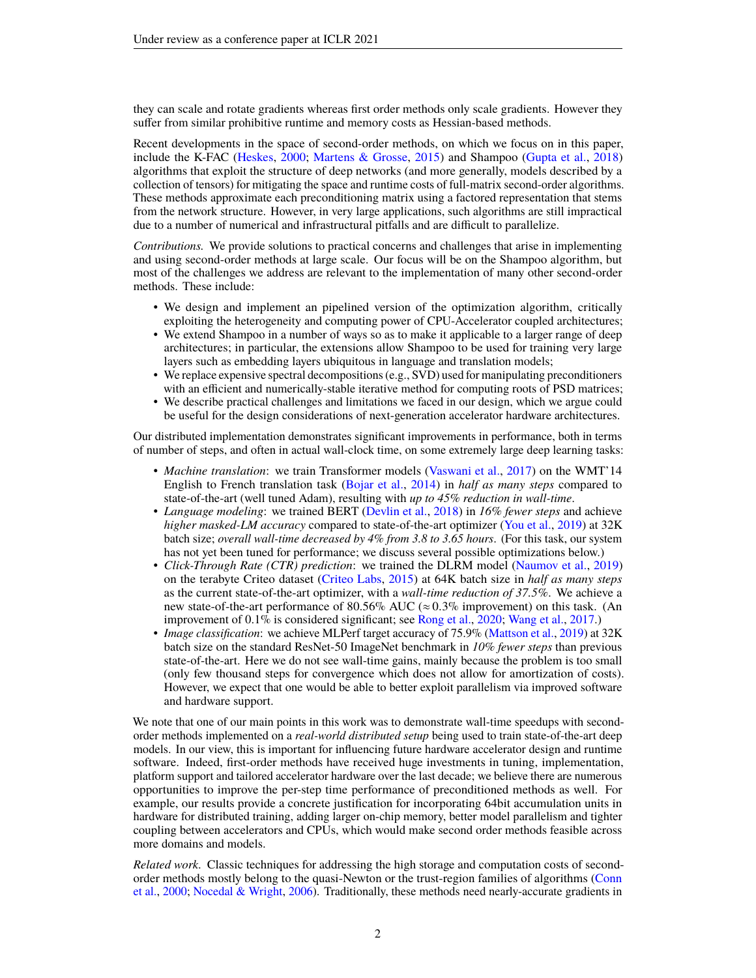they can scale and rotate gradients whereas first order methods only scale gradients. However they suffer from similar prohibitive runtime and memory costs as Hessian-based methods.

Recent developments in the space of second-order methods, on which we focus on in this paper, include the K-FAC [\(Heskes,](#page-10-4) [2000;](#page-10-4) [Martens & Grosse,](#page-10-5) [2015\)](#page-10-5) and Shampoo [\(Gupta et al.,](#page-10-6) [2018\)](#page-10-6) algorithms that exploit the structure of deep networks (and more generally, models described by a collection of tensors) for mitigating the space and runtime costs of full-matrix second-order algorithms. These methods approximate each preconditioning matrix using a factored representation that stems from the network structure. However, in very large applications, such algorithms are still impractical due to a number of numerical and infrastructural pitfalls and are difficult to parallelize.

*Contributions.* We provide solutions to practical concerns and challenges that arise in implementing and using second-order methods at large scale. Our focus will be on the Shampoo algorithm, but most of the challenges we address are relevant to the implementation of many other second-order methods. These include:

- We design and implement an pipelined version of the optimization algorithm, critically exploiting the heterogeneity and computing power of CPU-Accelerator coupled architectures;
- We extend Shampoo in a number of ways so as to make it applicable to a larger range of deep architectures; in particular, the extensions allow Shampoo to be used for training very large layers such as embedding layers ubiquitous in language and translation models;
- We replace expensive spectral decompositions (e.g., SVD) used for manipulating preconditioners with an efficient and numerically-stable iterative method for computing roots of PSD matrices;
- We describe practical challenges and limitations we faced in our design, which we argue could be useful for the design considerations of next-generation accelerator hardware architectures.

Our distributed implementation demonstrates significant improvements in performance, both in terms of number of steps, and often in actual wall-clock time, on some extremely large deep learning tasks:

- *Machine translation*: we train Transformer models [\(Vaswani et al.,](#page-11-0) [2017\)](#page-11-0) on the WMT'14 English to French translation task [\(Bojar et al.,](#page-9-2) [2014\)](#page-9-2) in *half as many steps* compared to state-of-the-art (well tuned Adam), resulting with *up to 45% reduction in wall-time*.
- *Language modeling*: we trained BERT [\(Devlin et al.,](#page-9-3) [2018\)](#page-9-3) in *16% fewer steps* and achieve *higher masked-LM accuracy* compared to state-of-the-art optimizer [\(You et al.,](#page-11-1) [2019\)](#page-11-1) at 32K batch size; *overall wall-time decreased by 4% from 3.8 to 3.65 hours*. (For this task, our system has not yet been tuned for performance; we discuss several possible optimizations below.)
- *Click-Through Rate (CTR) prediction*: we trained the DLRM model [\(Naumov et al.,](#page-10-7) [2019\)](#page-10-7) on the terabyte Criteo dataset [\(Criteo Labs,](#page-9-4) [2015\)](#page-9-4) at 64K batch size in *half as many steps* as the current state-of-the-art optimizer, with a *wall-time reduction of 37.5%*. We achieve a new state-of-the-art performance of 80.56% AUC ( $\approx 0.3\%$  improvement) on this task. (An improvement of 0.1% is considered significant; see [Rong et al.,](#page-11-2) [2020;](#page-11-2) [Wang et al.,](#page-11-3) [2017.](#page-11-3))
- *Image classification*: we achieve MLPerf target accuracy of 75.9% [\(Mattson et al.,](#page-10-8) [2019\)](#page-10-8) at 32K batch size on the standard ResNet-50 ImageNet benchmark in *10% fewer steps* than previous state-of-the-art. Here we do not see wall-time gains, mainly because the problem is too small (only few thousand steps for convergence which does not allow for amortization of costs). However, we expect that one would be able to better exploit parallelism via improved software and hardware support.

We note that one of our main points in this work was to demonstrate wall-time speedups with secondorder methods implemented on a *real-world distributed setup* being used to train state-of-the-art deep models. In our view, this is important for influencing future hardware accelerator design and runtime software. Indeed, first-order methods have received huge investments in tuning, implementation, platform support and tailored accelerator hardware over the last decade; we believe there are numerous opportunities to improve the per-step time performance of preconditioned methods as well. For example, our results provide a concrete justification for incorporating 64bit accumulation units in hardware for distributed training, adding larger on-chip memory, better model parallelism and tighter coupling between accelerators and CPUs, which would make second order methods feasible across more domains and models.

*Related work.* Classic techniques for addressing the high storage and computation costs of secondorder methods mostly belong to the quasi-Newton or the trust-region families of algorithms [\(Conn](#page-9-5) [et al.,](#page-9-5) [2000;](#page-9-5) [Nocedal & Wright,](#page-10-9) [2006\)](#page-10-9). Traditionally, these methods need nearly-accurate gradients in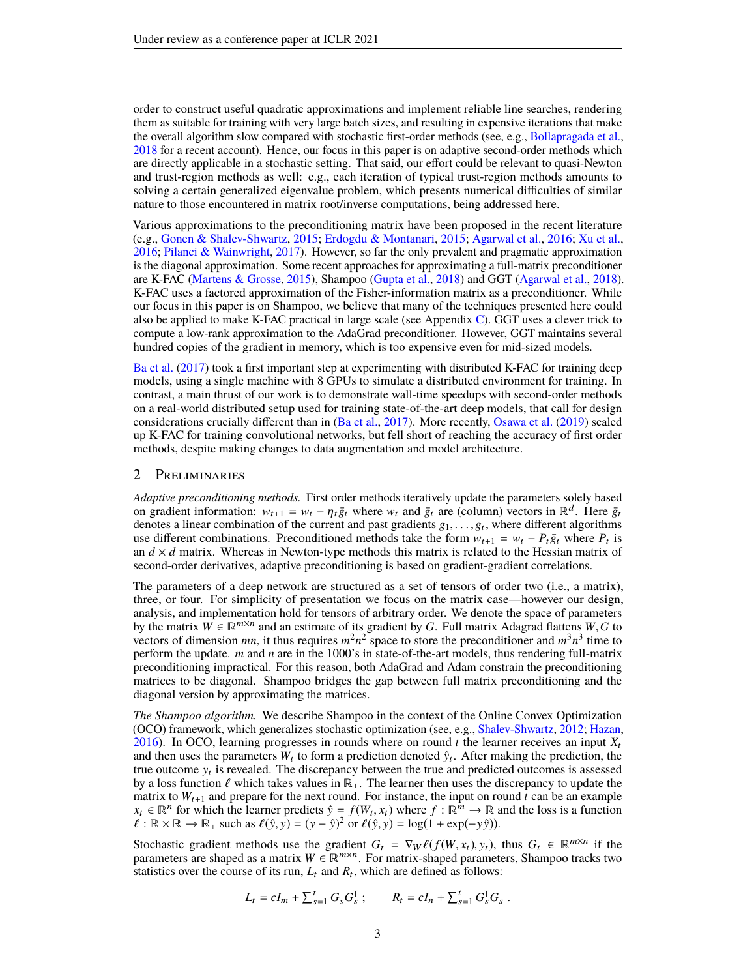order to construct useful quadratic approximations and implement reliable line searches, rendering them as suitable for training with very large batch sizes, and resulting in expensive iterations that make the overall algorithm slow compared with stochastic first-order methods (see, e.g., [Bollapragada et al.,](#page-9-6) [2018](#page-9-6) for a recent account). Hence, our focus in this paper is on adaptive second-order methods which are directly applicable in a stochastic setting. That said, our effort could be relevant to quasi-Newton and trust-region methods as well: e.g., each iteration of typical trust-region methods amounts to solving a certain generalized eigenvalue problem, which presents numerical difficulties of similar nature to those encountered in matrix root/inverse computations, being addressed here.

Various approximations to the preconditioning matrix have been proposed in the recent literature (e.g., [Gonen & Shalev-Shwartz,](#page-9-7) [2015;](#page-9-7) [Erdogdu & Montanari,](#page-9-8) [2015;](#page-9-8) [Agarwal et al.,](#page-9-9) [2016;](#page-9-9) [Xu et al.,](#page-11-4) [2016;](#page-11-4) [Pilanci & Wainwright,](#page-11-5) [2017\)](#page-11-5). However, so far the only prevalent and pragmatic approximation is the diagonal approximation. Some recent approaches for approximating a full-matrix preconditioner are K-FAC [\(Martens & Grosse,](#page-10-5) [2015\)](#page-10-5), Shampoo [\(Gupta et al.,](#page-10-6) [2018\)](#page-10-6) and GGT [\(Agarwal et al.,](#page-9-10) [2018\)](#page-9-10). K-FAC uses a factored approximation of the Fisher-information matrix as a preconditioner. While our focus in this paper is on Shampoo, we believe that many of the techniques presented here could also be applied to make K-FAC practical in large scale (see Appendix [C\)](#page-13-0). GGT uses a clever trick to compute a low-rank approximation to the AdaGrad preconditioner. However, GGT maintains several hundred copies of the gradient in memory, which is too expensive even for mid-sized models.

[Ba et al.](#page-9-11) [\(2017\)](#page-9-11) took a first important step at experimenting with distributed K-FAC for training deep models, using a single machine with 8 GPUs to simulate a distributed environment for training. In contrast, a main thrust of our work is to demonstrate wall-time speedups with second-order methods on a real-world distributed setup used for training state-of-the-art deep models, that call for design considerations crucially different than in [\(Ba et al.,](#page-9-11) [2017\)](#page-9-11). More recently, [Osawa et al.](#page-11-6) [\(2019\)](#page-11-6) scaled up K-FAC for training convolutional networks, but fell short of reaching the accuracy of first order methods, despite making changes to data augmentation and model architecture.

# 2 Preliminaries

*Adaptive preconditioning methods.* First order methods iteratively update the parameters solely based on gradient information:  $w_{t+1} = w_t - \eta_t \bar{g}_t$  where  $w_t$  and  $\bar{g}_t$  are (column) vectors in  $\mathbb{R}^d$ . Here  $\bar{g}_t$ denotes a linear combination of the current and past gradients  $g_1, \ldots, g_t$ , where different algorithms use different combinations. Preconditioned methods take the form  $w_{t+1} = w_t - P_t \bar{\sigma}_t$ , where  $P_t$  is use different combinations. Preconditioned methods take the form  $w_{t+1} = w_t - P_t \bar{g}_t$  where  $P_t$  is an  $d \times d$  matrix. Whereas in Newton-type methods this matrix is related to the Hessian matrix of second-order derivatives, adaptive preconditioning is based on gradient-gradient correlations.

The parameters of a deep network are structured as a set of tensors of order two (i.e., a matrix), three, or four. For simplicity of presentation we focus on the matrix case—however our design, analysis, and implementation hold for tensors of arbitrary order. We denote the space of parameters by the matrix  $W \in \mathbb{R}^{m \times n}$  and an estimate of its gradient by *G*. Full matrix Adagrad flattens *W*, *G* to vectors of dimension *mn* it thus requires  $m^2n^2$  space to store the preconditioner and  $m^3n^3$  time to vectors of dimension *mn*, it thus requires  $m^2n^2$  space to store the preconditioner and  $m^3n^3$  time to perform the update. *m* and *n* are in the 1000's in state-of-the-art models, thus rendering full-matrix preconditioning impractical. For this reason, both AdaGrad and Adam constrain the preconditioning matrices to be diagonal. Shampoo bridges the gap between full matrix preconditioning and the diagonal version by approximating the matrices.

*The Shampoo algorithm.* We describe Shampoo in the context of the Online Convex Optimization (OCO) framework, which generalizes stochastic optimization (see, e.g., [Shalev-Shwartz,](#page-11-7) [2012;](#page-11-7) [Hazan,](#page-10-10) [2016\)](#page-10-10). In OCO, learning progresses in rounds where on round  $t$  the learner receives an input  $X_t$ and then uses the parameters  $W_t$  to form a prediction denoted  $\hat{y}_t$ . After making the prediction, the true outcome  $y_t$  is revealed. The discrepancy between the true and predicted outcomes is assessed by a loss function  $\ell$  which takes values in  $\mathbb{R}_+$ . The learner then uses the discrepancy to update the matrix to  $W_{t+1}$  and prepare for the next round. For instance, the input on round  $t$  can be an example *x<sub>t</sub>* ∈  $\mathbb{R}^n$  for which the learner predicts  $\hat{y} = f(W_t, x_t)$  where  $f : \mathbb{R}^m \to \mathbb{R}$  and the loss is a function  $f: \mathbb{R} \times \mathbb{R} \to \mathbb{R}$ , such as  $f(\hat{y} \text{ } y) = (y - \hat{y})^2$  or  $f(\hat{y} \text{ } y) = \log(1 + \exp(-y\hat{y}))$  $\ell : \mathbb{R} \times \mathbb{R} \to \mathbb{R}_+$  such as  $\ell(\hat{y}, y) = (y - \hat{y})^2$  or  $\ell(\hat{y}, y) = \log(1 + \exp(-y\hat{y}))$ .

Stochastic gradient methods use the gradient  $G_t = \nabla_W \ell(f(W, x_t), y_t)$ , thus  $G_t \in \mathbb{R}^{m \times n}$  if the parameters are shaned as a matrix  $W \in \mathbb{R}^{m \times n}$ . For matrix-shaned parameters. Shampoo tracks two parameters are shaped as a matrix  $W \in \mathbb{R}^{m \times n}$ . For matrix-shaped parameters, Shampoo tracks two statistics over the course of its run,  $L_t$  and  $R_t$ , which are defined as follows:

$$
L_t = \epsilon I_m + \sum_{s=1}^t G_s G_s^{\mathsf{T}}; \qquad R_t = \epsilon I_n + \sum_{s=1}^t G_s^{\mathsf{T}} G_s
$$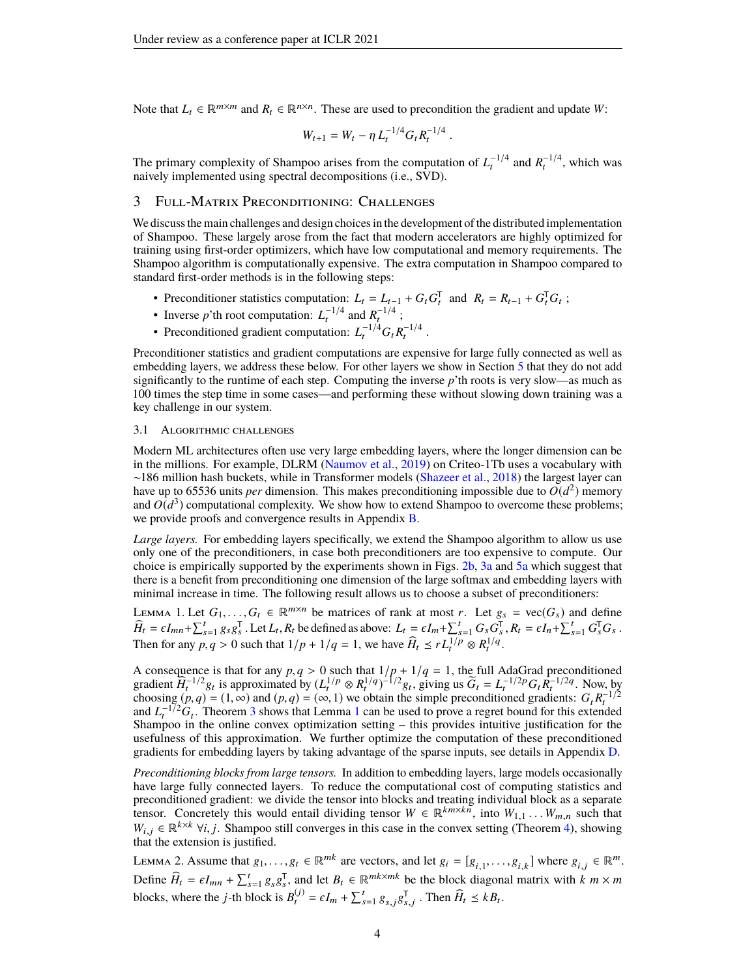Note that  $L_t \in \mathbb{R}^{m \times m}$  and  $R_t \in \mathbb{R}^{n \times n}$ . These are used to precondition the gradient and update W:

$$
W_{t+1} = W_t - \eta L_t^{-1/4} G_t R_t^{-1/4}.
$$

The primary complexity of Shampoo arises from the computation of  $L_t^{-1/4}$  and  $R_t^{-1/4}$ , which was naively implemented using spectral decompositions (i.e., SVD).

## 3 Full-Matrix Preconditioning: Challenges

We discuss the main challenges and design choices in the development of the distributed implementation of Shampoo. These largely arose from the fact that modern accelerators are highly optimized for training using first-order optimizers, which have low computational and memory requirements. The Shampoo algorithm is computationally expensive. The extra computation in Shampoo compared to standard first-order methods is in the following steps:

- Preconditioner statistics computation:  $L_t = L_{t-1} + G_t G_t^T$  and  $R_t = R_{t-1} + G_t^T G_t$ ;
- Inverse *p*'th root computation:  $L_t^{-1/4}$  and  $R_t^{-1/4}$ ;
- Preconditioned gradient computation:  $L_t^{-1/4} G_t R_t^{-1/4}$ .

Preconditioner statistics and gradient computations are expensive for large fully connected as well as embedding layers, we address these below. For other layers we show in Section [5](#page-5-0) that they do not add significantly to the runtime of each step. Computing the inverse *p*'th roots is very slow—as much as 100 times the step time in some cases—and performing these without slowing down training was a key challenge in our system.

#### <span id="page-3-1"></span>3.1 Algorithmic challenges

Modern ML architectures often use very large embedding layers, where the longer dimension can be in the millions. For example, DLRM [\(Naumov et al.,](#page-10-7) [2019\)](#page-10-7) on Criteo-1Tb uses a vocabulary with ∼186 million hash buckets, while in Transformer models [\(Shazeer et al.,](#page-11-8) [2018\)](#page-11-8) the largest layer can have up to 65536 units *per* dimension. This makes preconditioning impossible due to  $O(d^2)$  memory and  $O(d^3)$  computational complexity. We show how to extend Shampoo to overcome these problems; we provide proofs and convergence results in Appendix [B.](#page-12-0)

*Large layers.* For embedding layers specifically, we extend the Shampoo algorithm to allow us use only one of the preconditioners, in case both preconditioners are too expensive to compute. Our choice is empirically supported by the experiments shown in Figs. [2b,](#page-6-0) [3a](#page-6-1) and [5a](#page-7-0) which suggest that there is a benefit from preconditioning one dimension of the large softmax and embedding layers with minimal increase in time. The following result allows us to choose a subset of preconditioners:

<span id="page-3-0"></span>LEMMA 1. Let  $G_1, \ldots, G_t \in \mathbb{R}^{m \times n}$  be matrices of rank at most *r*. Let  $g_s = \text{vec}(G_s)$  and define  $\widehat{H}_t = \epsilon I_{mn} + \sum_{s=1}^t g_s g_s^T$ . Let  $L_t$ ,  $R_t$  be defined as above:  $L_t = \epsilon I_m + \sum_{s=1}^t G_s G_s^T$ ,  $R_t = \epsilon I_n + \sum_{s=1}^t G_s^T G_s$ .<br>Then for any  $n, s > 0$  such that  $1/n + 1/s = 1$ , we have  $\widehat{H}_s \sim rI^{1/p} \approx P^{1/q}$ . Then for any  $p, q > 0$  such that  $1/p + 1/q = 1$ , we have  $\widehat{H}_t \le r L_t^{1/p} \otimes R_t^{1/q}$ .

A consequence is that for any  $p, q > 0$  such that  $1/p + 1/q = 1$ , the full AdaGrad preconditioned pradient  $\widehat{H}^{-1/2}g$ , is approximated by  $(L^{1/p} \otimes R^{1/q})^{-1/2}g$ , giving us  $\widetilde{G}_t = L^{-1/2p}G_t R^{-1/2q}$ . Now by gradient  $\hat{H}_t^{-1/2}g_t$  is approximated by  $(L_t^{1/p} \otimes R_t^{1/q})^{-1/2}g_t$ , giving us  $\tilde{G}_t = L_t^{-1/2p}G_t\tilde{R}_t^{-1/2q}$ . Now, by choosing  $(p, q) = (1, \infty)$  and  $(p, q) = (\infty, 1)$  we obtain the simple preconditioned gradients:  $G_t R_t^{-1/2}$ <br>and  $L^{-1/2}G$ . Theorem 3 shows that Lemma 1 can be used to prove a regret bound for this extended and  $L_t^{-1/2}G_t$  $L_t^{-1/2}G_t$  $L_t^{-1/2}G_t$ . Theorem [3](#page-12-1) shows that Lemma 1 can be used to prove a regret bound for this extended Shampoo in the online convex optimization setting – this provides intuitive justification for the usefulness of this approximation. We further optimize the computation of these preconditioned gradients for embedding layers by taking advantage of the sparse inputs, see details in Appendix [D.](#page-14-0)

*Preconditioning blocks from large tensors.* In addition to embedding layers, large models occasionally have large fully connected layers. To reduce the computational cost of computing statistics and preconditioned gradient: we divide the tensor into blocks and treating individual block as a separate tensor. Concretely this would entail dividing tensor  $W \in \mathbb{R}^{km \times k\overline{n}}$ , into  $W_{1,1} \dots W_{m,n}$  such that  $W_{k,n} \in \mathbb{R}^{k \times k}$   $\forall i, j$ . Shampoo still converges in this case in the convex setting (Theorem 4), showing  $W_{i,j} \in \mathbb{R}^{k \times k}$   $\forall i, j$ . Shampoo still converges in this case in the convex setting (Theorem [4\)](#page-13-1), showing that the extension is justified.

<span id="page-3-2"></span>LEMMA 2. Assume that  $g_1, \ldots, g_t \in \mathbb{R}^{mk}$  are vectors, and let  $g_i = [g_{i,1}, \ldots, g_{i,k}]$  where  $g_{i,j} \in \mathbb{R}^m$ . Define  $\widehat{H}_t = \epsilon I_{mn} + \sum_{s=1}^t g_s g_s^T$ , and let  $B_t \in \mathbb{R}^{mk \times mk}$  be the block diagonal matrix with  $k \le m \times m$ blocks, where the *j*-th block is  $B_t^{(j)} = \epsilon I_m + \sum_{s=1}^t g_{s,j} g_{s,j}^T$ . Then  $\widehat{H}_t \le k B_t$ .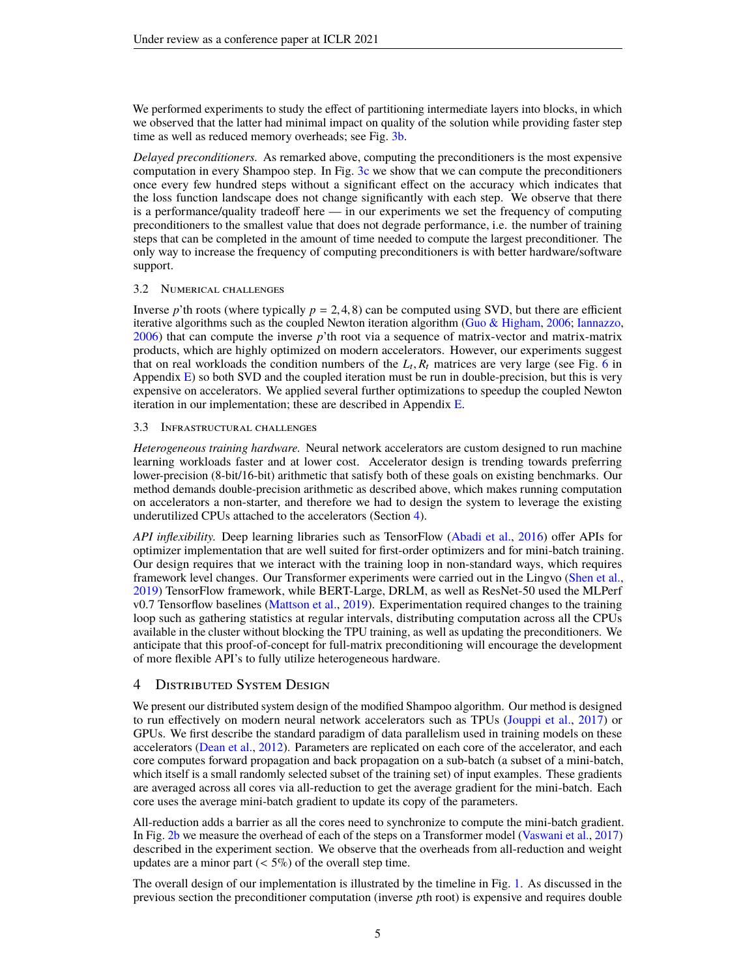We performed experiments to study the effect of partitioning intermediate layers into blocks, in which we observed that the latter had minimal impact on quality of the solution while providing faster step time as well as reduced memory overheads; see Fig. [3b.](#page-6-1)

*Delayed preconditioners.* As remarked above, computing the preconditioners is the most expensive computation in every Shampoo step. In Fig. [3c](#page-6-1) we show that we can compute the preconditioners once every few hundred steps without a significant effect on the accuracy which indicates that the loss function landscape does not change significantly with each step. We observe that there is a performance/quality tradeoff here — in our experiments we set the frequency of computing preconditioners to the smallest value that does not degrade performance, i.e. the number of training steps that can be completed in the amount of time needed to compute the largest preconditioner. The only way to increase the frequency of computing preconditioners is with better hardware/software support.

#### 3.2 Numerical challenges

Inverse *p*'th roots (where typically  $p = 2, 4, 8$ ) can be computed using SVD, but there are efficient iterative algorithms such as the coupled Newton iteration algorithm [\(Guo & Higham,](#page-10-11) [2006;](#page-10-11) [Iannazzo,](#page-10-12) [2006\)](#page-10-12) that can compute the inverse *p*'th root via a sequence of matrix-vector and matrix-matrix products, which are highly optimized on modern accelerators. However, our experiments suggest that on real workloads the condition numbers of the  $L_t$ ,  $R_t$  matrices are very large (see Fig. [6](#page-17-0) in<br>Appendix  $F$ ) so both SVD and the coupled iteration must be run in double-precision, but this is very Appendix  $E$ ) so both SVD and the coupled iteration must be run in double-precision, but this is very expensive on accelerators. We applied several further optimizations to speedup the coupled Newton iteration in our implementation; these are described in Appendix [E.](#page-15-0)

## 3.3 Infrastructural challenges

*Heterogeneous training hardware.* Neural network accelerators are custom designed to run machine learning workloads faster and at lower cost. Accelerator design is trending towards preferring lower-precision (8-bit/16-bit) arithmetic that satisfy both of these goals on existing benchmarks. Our method demands double-precision arithmetic as described above, which makes running computation on accelerators a non-starter, and therefore we had to design the system to leverage the existing underutilized CPUs attached to the accelerators (Section [4\)](#page-4-0).

*API inflexibility.* Deep learning libraries such as TensorFlow [\(Abadi et al.,](#page-9-12) [2016\)](#page-9-12) offer APIs for optimizer implementation that are well suited for first-order optimizers and for mini-batch training. Our design requires that we interact with the training loop in non-standard ways, which requires framework level changes. Our Transformer experiments were carried out in the Lingvo [\(Shen et al.,](#page-11-9) [2019\)](#page-11-9) TensorFlow framework, while BERT-Large, DRLM, as well as ResNet-50 used the MLPerf v0.7 Tensorflow baselines [\(Mattson et al.,](#page-10-8) [2019\)](#page-10-8). Experimentation required changes to the training loop such as gathering statistics at regular intervals, distributing computation across all the CPUs available in the cluster without blocking the TPU training, as well as updating the preconditioners. We anticipate that this proof-of-concept for full-matrix preconditioning will encourage the development of more flexible API's to fully utilize heterogeneous hardware.

# <span id="page-4-0"></span>4 Distributed System Design

We present our distributed system design of the modified Shampoo algorithm. Our method is designed to run effectively on modern neural network accelerators such as TPUs [\(Jouppi et al.,](#page-10-13) [2017\)](#page-10-13) or GPUs. We first describe the standard paradigm of data parallelism used in training models on these accelerators [\(Dean et al.,](#page-9-13) [2012\)](#page-9-13). Parameters are replicated on each core of the accelerator, and each core computes forward propagation and back propagation on a sub-batch (a subset of a mini-batch, which itself is a small randomly selected subset of the training set) of input examples. These gradients are averaged across all cores via all-reduction to get the average gradient for the mini-batch. Each core uses the average mini-batch gradient to update its copy of the parameters.

All-reduction adds a barrier as all the cores need to synchronize to compute the mini-batch gradient. In Fig. [2b](#page-6-0) we measure the overhead of each of the steps on a Transformer model [\(Vaswani et al.,](#page-11-0) [2017\)](#page-11-0) described in the experiment section. We observe that the overheads from all-reduction and weight updates are a minor part  $(< 5\%)$  of the overall step time.

The overall design of our implementation is illustrated by the timeline in Fig. [1.](#page-5-1) As discussed in the previous section the preconditioner computation (inverse *p*th root) is expensive and requires double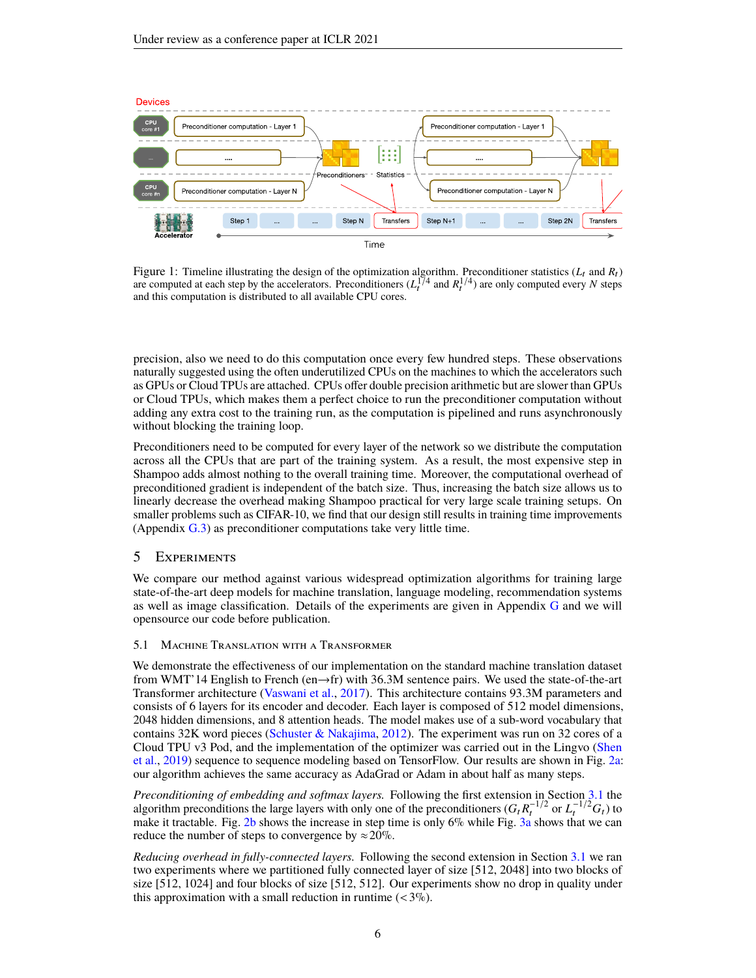<span id="page-5-1"></span>

Figure 1: Timeline illustrating the design of the optimization algorithm. Preconditioner statistics  $(L_t$  and  $R_t$ ) are computed at each step by the accelerators. Preconditioners  $(L_t^{1/4})$  and  $R_t^{1/4}$  are only computed every *N* steps and this computation is distributed to all available CPU cores.

precision, also we need to do this computation once every few hundred steps. These observations naturally suggested using the often underutilized CPUs on the machines to which the accelerators such as GPUs or Cloud TPUs are attached. CPUs offer double precision arithmetic but are slower than GPUs or Cloud TPUs, which makes them a perfect choice to run the preconditioner computation without adding any extra cost to the training run, as the computation is pipelined and runs asynchronously without blocking the training loop.

Preconditioners need to be computed for every layer of the network so we distribute the computation across all the CPUs that are part of the training system. As a result, the most expensive step in Shampoo adds almost nothing to the overall training time. Moreover, the computational overhead of preconditioned gradient is independent of the batch size. Thus, increasing the batch size allows us to linearly decrease the overhead making Shampoo practical for very large scale training setups. On smaller problems such as CIFAR-10, we find that our design still results in training time improvements (Appendix [G.3\)](#page-19-0) as preconditioner computations take very little time.

## <span id="page-5-0"></span>5 Experiments

We compare our method against various widespread optimization algorithms for training large state-of-the-art deep models for machine translation, language modeling, recommendation systems as well as image classification. Details of the experiments are given in Appendix [G](#page-16-0) and we will opensource our code before publication.

## 5.1 Machine Translation with a Transformer

We demonstrate the effectiveness of our implementation on the standard machine translation dataset from WMT'14 English to French (en→fr) with 36.3M sentence pairs. We used the state-of-the-art Transformer architecture [\(Vaswani et al.,](#page-11-0) [2017\)](#page-11-0). This architecture contains 93.3M parameters and consists of 6 layers for its encoder and decoder. Each layer is composed of 512 model dimensions, 2048 hidden dimensions, and 8 attention heads. The model makes use of a sub-word vocabulary that contains 32K word pieces [\(Schuster & Nakajima,](#page-11-10) [2012\)](#page-11-10). The experiment was run on 32 cores of a Cloud TPU v3 Pod, and the implementation of the optimizer was carried out in the Lingvo [\(Shen](#page-11-9) [et al.,](#page-11-9) [2019\)](#page-11-9) sequence to sequence modeling based on TensorFlow. Our results are shown in Fig. [2a:](#page-6-0) our algorithm achieves the same accuracy as AdaGrad or Adam in about half as many steps.

*Preconditioning of embedding and softmax layers.* Following the first extension in Section [3.1](#page-3-1) the algorithm preconditions the large layers with only one of the preconditioners  $(G_t R_t^{-1/2} \text{ or } L_t^{-1/2} G_t)$  to make it tractable. Fig. [2b](#page-6-0) shows the increase in step time is only  $6\%$  while Fig. [3a](#page-6-1) shows that we can reduce the number of steps to convergence by  $\approx 20\%$ .

*Reducing overhead in fully-connected layers.* Following the second extension in Section [3.1](#page-3-1) we ran two experiments where we partitioned fully connected layer of size [512, 2048] into two blocks of size [512, 1024] and four blocks of size [512, 512]. Our experiments show no drop in quality under this approximation with a small reduction in runtime  $(< 3\%$ ).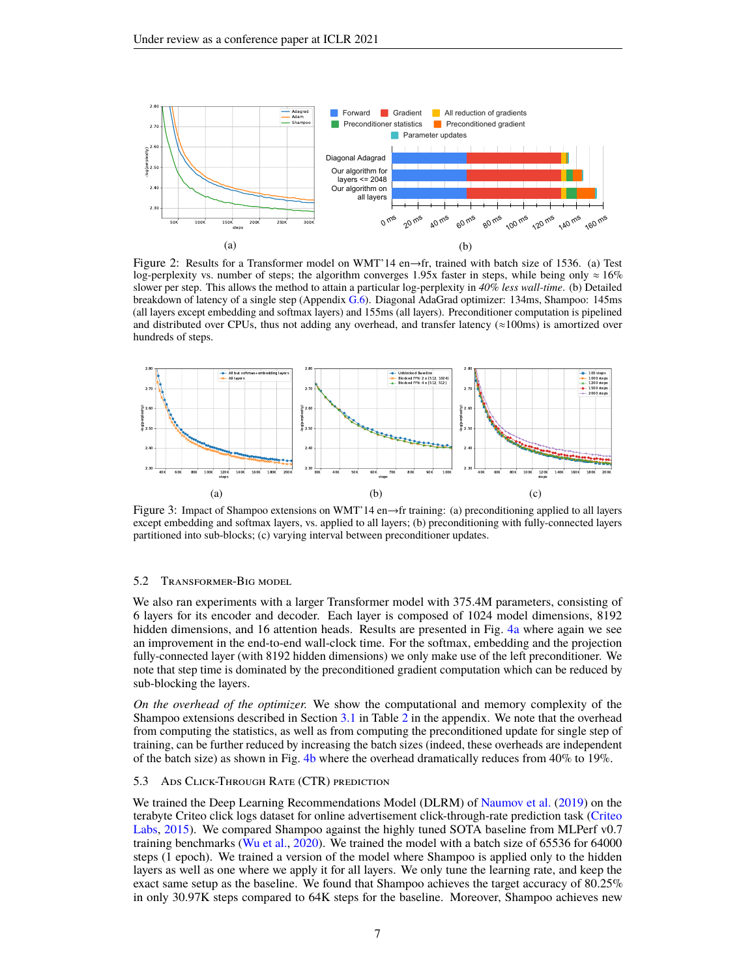<span id="page-6-0"></span>

Figure 2: Results for a Transformer model on WMT'14 en→fr, trained with batch size of 1536. (a) Test log-perplexity vs. number of steps; the algorithm converges 1.95x faster in steps, while being only  $\approx 16\%$ slower per step. This allows the method to attain a particular log-perplexity in *40% less wall-time*. (b) Detailed breakdown of latency of a single step (Appendix [G.6\)](#page-19-1). Diagonal AdaGrad optimizer: 134ms, Shampoo: 145ms (all layers except embedding and softmax layers) and 155ms (all layers). Preconditioner computation is pipelined and distributed over CPUs, thus not adding any overhead, and transfer latency ( $\approx$ 100ms) is amortized over hundreds of steps.

<span id="page-6-1"></span>

Figure 3: Impact of Shampoo extensions on WMT'14 en→fr training: (a) preconditioning applied to all layers except embedding and softmax layers, vs. applied to all layers; (b) preconditioning with fully-connected layers partitioned into sub-blocks; (c) varying interval between preconditioner updates.

#### 5.2 Transformer-Big model

We also ran experiments with a larger Transformer model with 375.4M parameters, consisting of 6 layers for its encoder and decoder. Each layer is composed of 1024 model dimensions, 8192 hidden dimensions, and 16 attention heads. Results are presented in Fig. [4a](#page-7-1) where again we see an improvement in the end-to-end wall-clock time. For the softmax, embedding and the projection fully-connected layer (with 8192 hidden dimensions) we only make use of the left preconditioner. We note that step time is dominated by the preconditioned gradient computation which can be reduced by sub-blocking the layers.

*On the overhead of the optimizer.* We show the computational and memory complexity of the Shampoo extensions described in Section [3.1](#page-3-1) in Table [2](#page-17-1) in the appendix. We note that the overhead from computing the statistics, as well as from computing the preconditioned update for single step of training, can be further reduced by increasing the batch sizes (indeed, these overheads are independent of the batch size) as shown in Fig. [4b](#page-7-1) where the overhead dramatically reduces from  $40\%$  to  $19\%$ .

#### 5.3 Ads Click-Through Rate (CTR) prediction

We trained the Deep Learning Recommendations Model (DLRM) of [Naumov et al.](#page-10-7) [\(2019\)](#page-10-7) on the terabyte Criteo click logs dataset for online advertisement click-through-rate prediction task [\(Criteo](#page-9-4) [Labs,](#page-9-4) [2015\)](#page-9-4). We compared Shampoo against the highly tuned SOTA baseline from MLPerf v0.7 training benchmarks [\(Wu et al.,](#page-11-11) [2020\)](#page-11-11). We trained the model with a batch size of 65536 for 64000 steps (1 epoch). We trained a version of the model where Shampoo is applied only to the hidden layers as well as one where we apply it for all layers. We only tune the learning rate, and keep the exact same setup as the baseline. We found that Shampoo achieves the target accuracy of 80.25% in only 30.97K steps compared to 64K steps for the baseline. Moreover, Shampoo achieves new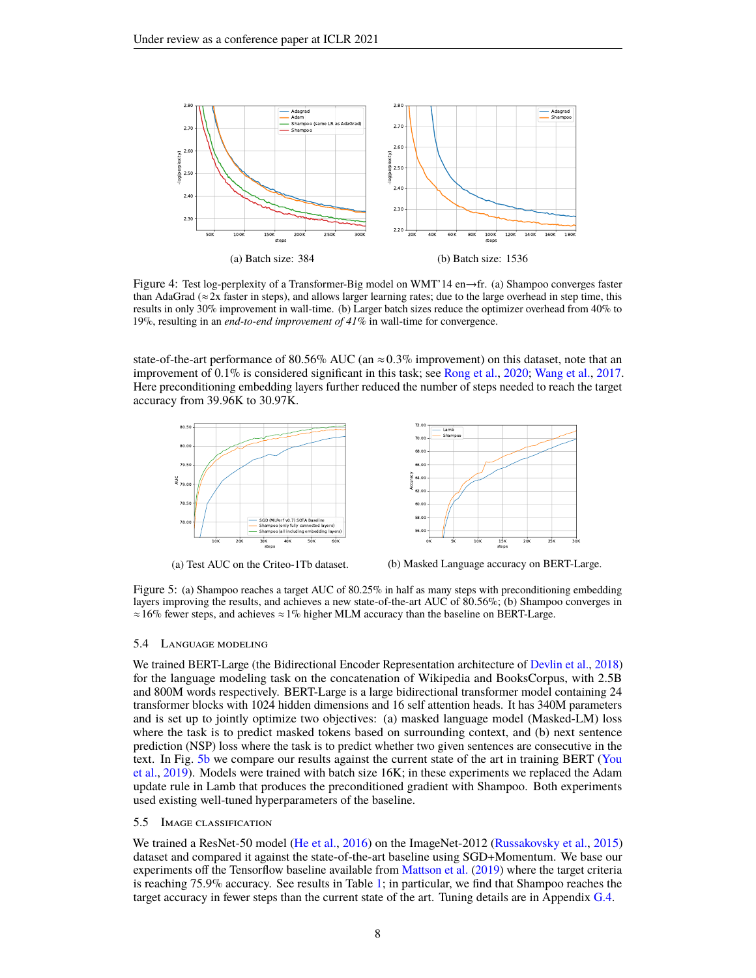<span id="page-7-1"></span>

Figure 4: Test log-perplexity of a Transformer-Big model on WMT'14 en→fr. (a) Shampoo converges faster than AdaGrad ( $\approx$  2x faster in steps), and allows larger learning rates; due to the large overhead in step time, this results in only 30% improvement in wall-time. (b) Larger batch sizes reduce the optimizer overhead from 40% to 19%, resulting in an *end-to-end improvement of 41%* in wall-time for convergence.

state-of-the-art performance of 80.56% AUC (an  $\approx$  0.3% improvement) on this dataset, note that an improvement of 0.1% is considered significant in this task; see [Rong et al.,](#page-11-2) [2020;](#page-11-2) [Wang et al.,](#page-11-3) [2017.](#page-11-3) Here preconditioning embedding layers further reduced the number of steps needed to reach the target accuracy from 39.96K to 30.97K.

<span id="page-7-0"></span>





(b) Masked Language accuracy on BERT-Large.

Figure 5: (a) Shampoo reaches a target AUC of 80.25% in half as many steps with preconditioning embedding layers improving the results, and achieves a new state-of-the-art AUC of 80.56%; (b) Shampoo converges in  $\approx 16\%$  fewer steps, and achieves  $\approx 1\%$  higher MLM accuracy than the baseline on BERT-Large.

#### 5.4 Language modeling

We trained BERT-Large (the Bidirectional Encoder Representation architecture of [Devlin et al.,](#page-9-3) [2018\)](#page-9-3) for the language modeling task on the concatenation of Wikipedia and BooksCorpus, with 2.5B and 800M words respectively. BERT-Large is a large bidirectional transformer model containing 24 transformer blocks with 1024 hidden dimensions and 16 self attention heads. It has 340M parameters and is set up to jointly optimize two objectives: (a) masked language model (Masked-LM) loss where the task is to predict masked tokens based on surrounding context, and (b) next sentence prediction (NSP) loss where the task is to predict whether two given sentences are consecutive in the text. In Fig. [5b](#page-7-0) we compare our results against the current state of the art in training BERT [\(You](#page-11-1) [et al.,](#page-11-1) [2019\)](#page-11-1). Models were trained with batch size 16K; in these experiments we replaced the Adam update rule in Lamb that produces the preconditioned gradient with Shampoo. Both experiments used existing well-tuned hyperparameters of the baseline.

#### 5.5 Image classification

We trained a ResNet-50 model [\(He et al.,](#page-10-14) [2016\)](#page-10-14) on the ImageNet-2012 [\(Russakovsky et al.,](#page-11-12) [2015\)](#page-11-12) dataset and compared it against the state-of-the-art baseline using SGD+Momentum. We base our experiments off the Tensorflow baseline available from [Mattson et al.](#page-10-8) [\(2019\)](#page-10-8) where the target criteria is reaching 75.9% accuracy. See results in Table [1;](#page-8-0) in particular, we find that Shampoo reaches the target accuracy in fewer steps than the current state of the art. Tuning details are in Appendix [G.4.](#page-19-2)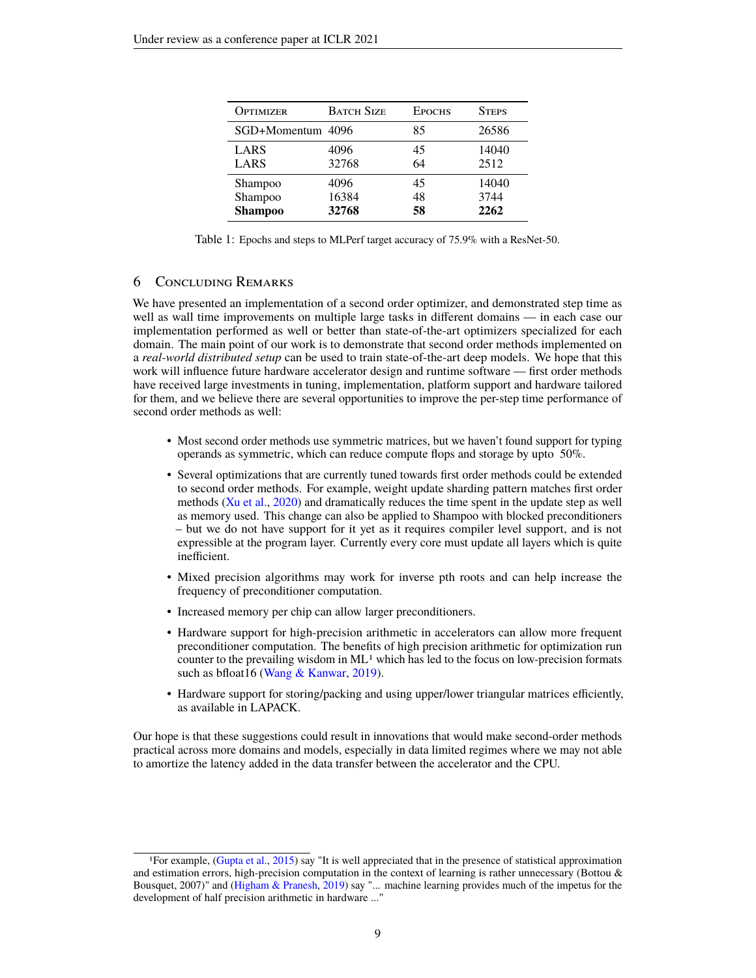<span id="page-8-0"></span>

| <b>OPTIMIZER</b>  | <b>BATCH SIZE</b> | <b>EPOCHS</b> | <b>STEPS</b> |
|-------------------|-------------------|---------------|--------------|
| SGD+Momentum 4096 |                   | 85            | 26586        |
| LARS              | 4096              | 45            | 14040        |
| LARS              | 32768             | 64            | 2512         |
| <b>Shampoo</b>    | 4096              | 45            | 14040        |
| Shampoo           | 16384             | 48            | 3744         |
| <b>Shampoo</b>    | 32768             | 58            | 2262         |

Table 1: Epochs and steps to MLPerf target accuracy of 75.9% with a ResNet-50.

## 6 Concluding Remarks

We have presented an implementation of a second order optimizer, and demonstrated step time as well as wall time improvements on multiple large tasks in different domains — in each case our implementation performed as well or better than state-of-the-art optimizers specialized for each domain. The main point of our work is to demonstrate that second order methods implemented on a *real-world distributed setup* can be used to train state-of-the-art deep models. We hope that this work will influence future hardware accelerator design and runtime software — first order methods have received large investments in tuning, implementation, platform support and hardware tailored for them, and we believe there are several opportunities to improve the per-step time performance of second order methods as well:

- Most second order methods use symmetric matrices, but we haven't found support for typing operands as symmetric, which can reduce compute flops and storage by upto 50%.
- Several optimizations that are currently tuned towards first order methods could be extended to second order methods. For example, weight update sharding pattern matches first order methods [\(Xu et al.,](#page-11-13) [2020\)](#page-11-13) and dramatically reduces the time spent in the update step as well as memory used. This change can also be applied to Shampoo with blocked preconditioners – but we do not have support for it yet as it requires compiler level support, and is not expressible at the program layer. Currently every core must update all layers which is quite inefficient.
- Mixed precision algorithms may work for inverse pth roots and can help increase the frequency of preconditioner computation.
- Increased memory per chip can allow larger preconditioners.
- Hardware support for high-precision arithmetic in accelerators can allow more frequent preconditioner computation. The benefits of high precision arithmetic for optimization run counter to the prevailing wisdom in  $ML<sup>1</sup>$  which has led to the focus on low-precision formats such as bfloat16 [\(Wang & Kanwar,](#page-11-14) [2019\)](#page-11-14).
- Hardware support for storing/packing and using upper/lower triangular matrices efficiently, as available in LAPACK.

Our hope is that these suggestions could result in innovations that would make second-order methods practical across more domains and models, especially in data limited regimes where we may not able to amortize the latency added in the data transfer between the accelerator and the CPU.

<sup>1</sup>For example, [\(Gupta et al.,](#page-10-15) [2015\)](#page-10-15) say "It is well appreciated that in the presence of statistical approximation and estimation errors, high-precision computation in the context of learning is rather unnecessary (Bottou & Bousquet, 2007)" and [\(Higham & Pranesh,](#page-10-16) [2019\)](#page-10-16) say "... machine learning provides much of the impetus for the development of half precision arithmetic in hardware ..."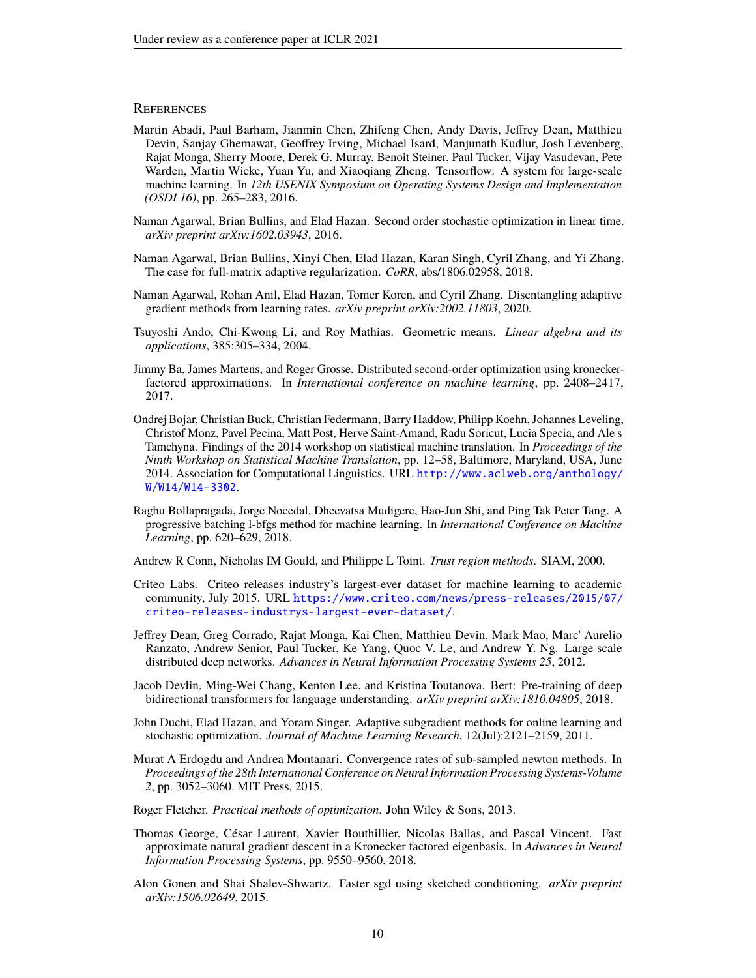## **REFERENCES**

- <span id="page-9-12"></span>Martin Abadi, Paul Barham, Jianmin Chen, Zhifeng Chen, Andy Davis, Jeffrey Dean, Matthieu Devin, Sanjay Ghemawat, Geoffrey Irving, Michael Isard, Manjunath Kudlur, Josh Levenberg, Rajat Monga, Sherry Moore, Derek G. Murray, Benoit Steiner, Paul Tucker, Vijay Vasudevan, Pete Warden, Martin Wicke, Yuan Yu, and Xiaoqiang Zheng. Tensorflow: A system for large-scale machine learning. In *12th USENIX Symposium on Operating Systems Design and Implementation (OSDI 16)*, pp. 265–283, 2016.
- <span id="page-9-9"></span>Naman Agarwal, Brian Bullins, and Elad Hazan. Second order stochastic optimization in linear time. *arXiv preprint arXiv:1602.03943*, 2016.
- <span id="page-9-10"></span>Naman Agarwal, Brian Bullins, Xinyi Chen, Elad Hazan, Karan Singh, Cyril Zhang, and Yi Zhang. The case for full-matrix adaptive regularization. *CoRR*, abs/1806.02958, 2018.
- <span id="page-9-16"></span>Naman Agarwal, Rohan Anil, Elad Hazan, Tomer Koren, and Cyril Zhang. Disentangling adaptive gradient methods from learning rates. *arXiv preprint arXiv:2002.11803*, 2020.
- <span id="page-9-14"></span>Tsuyoshi Ando, Chi-Kwong Li, and Roy Mathias. Geometric means. *Linear algebra and its applications*, 385:305–334, 2004.
- <span id="page-9-11"></span>Jimmy Ba, James Martens, and Roger Grosse. Distributed second-order optimization using kroneckerfactored approximations. In *International conference on machine learning*, pp. 2408–2417, 2017.
- <span id="page-9-2"></span>Ondrej Bojar, Christian Buck, Christian Federmann, Barry Haddow, Philipp Koehn, Johannes Leveling, Christof Monz, Pavel Pecina, Matt Post, Herve Saint-Amand, Radu Soricut, Lucia Specia, and Ale s Tamchyna. Findings of the 2014 workshop on statistical machine translation. In *Proceedings of the Ninth Workshop on Statistical Machine Translation*, pp. 12–58, Baltimore, Maryland, USA, June 2014. Association for Computational Linguistics. URL [http://www.aclweb.org/anthology/](http://www.aclweb.org/anthology/W/W14/W14-3302) [W/W14/W14-3302](http://www.aclweb.org/anthology/W/W14/W14-3302).
- <span id="page-9-6"></span>Raghu Bollapragada, Jorge Nocedal, Dheevatsa Mudigere, Hao-Jun Shi, and Ping Tak Peter Tang. A progressive batching l-bfgs method for machine learning. In *International Conference on Machine Learning*, pp. 620–629, 2018.

<span id="page-9-5"></span>Andrew R Conn, Nicholas IM Gould, and Philippe L Toint. *Trust region methods*. SIAM, 2000.

- <span id="page-9-4"></span>Criteo Labs. Criteo releases industry's largest-ever dataset for machine learning to academic community, July 2015. URL [https://www.criteo.com/news/press-releases/2015/07/](https://www.criteo.com/news/press-releases/2015/07/criteo-releases-industrys-largest-ever-dataset/) [criteo-releases-industrys-largest-ever-dataset/](https://www.criteo.com/news/press-releases/2015/07/criteo-releases-industrys-largest-ever-dataset/).
- <span id="page-9-13"></span>Jeffrey Dean, Greg Corrado, Rajat Monga, Kai Chen, Matthieu Devin, Mark Mao, Marc' Aurelio Ranzato, Andrew Senior, Paul Tucker, Ke Yang, Quoc V. Le, and Andrew Y. Ng. Large scale distributed deep networks. *Advances in Neural Information Processing Systems 25*, 2012.
- <span id="page-9-3"></span>Jacob Devlin, Ming-Wei Chang, Kenton Lee, and Kristina Toutanova. Bert: Pre-training of deep bidirectional transformers for language understanding. *arXiv preprint arXiv:1810.04805*, 2018.
- <span id="page-9-1"></span>John Duchi, Elad Hazan, and Yoram Singer. Adaptive subgradient methods for online learning and stochastic optimization. *Journal of Machine Learning Research*, 12(Jul):2121–2159, 2011.
- <span id="page-9-8"></span>Murat A Erdogdu and Andrea Montanari. Convergence rates of sub-sampled newton methods. In *Proceedings of the 28th International Conference on Neural Information Processing Systems-Volume 2*, pp. 3052–3060. MIT Press, 2015.
- <span id="page-9-0"></span>Roger Fletcher. *Practical methods of optimization*. John Wiley & Sons, 2013.
- <span id="page-9-15"></span>Thomas George, César Laurent, Xavier Bouthillier, Nicolas Ballas, and Pascal Vincent. Fast approximate natural gradient descent in a Kronecker factored eigenbasis. In *Advances in Neural Information Processing Systems*, pp. 9550–9560, 2018.
- <span id="page-9-7"></span>Alon Gonen and Shai Shalev-Shwartz. Faster sgd using sketched conditioning. *arXiv preprint arXiv:1506.02649*, 2015.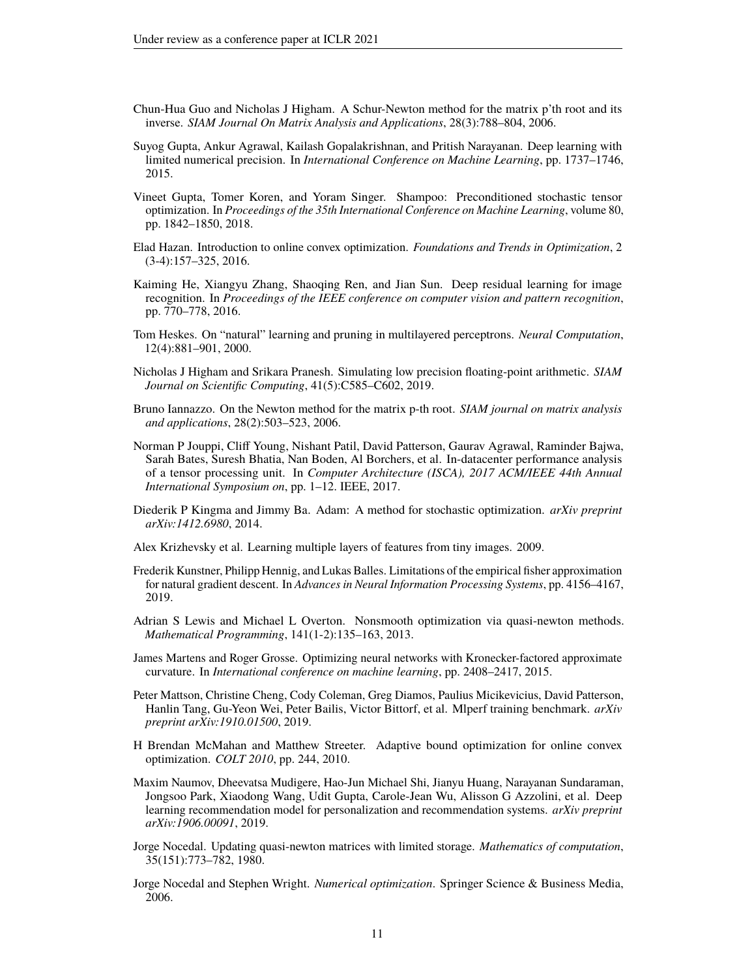- <span id="page-10-11"></span>Chun-Hua Guo and Nicholas J Higham. A Schur-Newton method for the matrix p'th root and its inverse. *SIAM Journal On Matrix Analysis and Applications*, 28(3):788–804, 2006.
- <span id="page-10-15"></span>Suyog Gupta, Ankur Agrawal, Kailash Gopalakrishnan, and Pritish Narayanan. Deep learning with limited numerical precision. In *International Conference on Machine Learning*, pp. 1737–1746, 2015.
- <span id="page-10-6"></span>Vineet Gupta, Tomer Koren, and Yoram Singer. Shampoo: Preconditioned stochastic tensor optimization. In *Proceedings of the 35th International Conference on Machine Learning*, volume 80, pp. 1842–1850, 2018.
- <span id="page-10-10"></span>Elad Hazan. Introduction to online convex optimization. *Foundations and Trends in Optimization*, 2 (3-4):157–325, 2016.
- <span id="page-10-14"></span>Kaiming He, Xiangyu Zhang, Shaoqing Ren, and Jian Sun. Deep residual learning for image recognition. In *Proceedings of the IEEE conference on computer vision and pattern recognition*, pp. 770–778, 2016.
- <span id="page-10-4"></span>Tom Heskes. On "natural" learning and pruning in multilayered perceptrons. *Neural Computation*, 12(4):881–901, 2000.
- <span id="page-10-16"></span>Nicholas J Higham and Srikara Pranesh. Simulating low precision floating-point arithmetic. *SIAM Journal on Scientific Computing*, 41(5):C585–C602, 2019.
- <span id="page-10-12"></span>Bruno Iannazzo. On the Newton method for the matrix p-th root. *SIAM journal on matrix analysis and applications*, 28(2):503–523, 2006.
- <span id="page-10-13"></span>Norman P Jouppi, Cliff Young, Nishant Patil, David Patterson, Gaurav Agrawal, Raminder Bajwa, Sarah Bates, Suresh Bhatia, Nan Boden, Al Borchers, et al. In-datacenter performance analysis of a tensor processing unit. In *Computer Architecture (ISCA), 2017 ACM/IEEE 44th Annual International Symposium on*, pp. 1–12. IEEE, 2017.
- <span id="page-10-3"></span>Diederik P Kingma and Jimmy Ba. Adam: A method for stochastic optimization. *arXiv preprint arXiv:1412.6980*, 2014.
- <span id="page-10-18"></span>Alex Krizhevsky et al. Learning multiple layers of features from tiny images. 2009.
- <span id="page-10-17"></span>Frederik Kunstner, Philipp Hennig, and Lukas Balles. Limitations of the empirical fisher approximation for natural gradient descent. In *Advances in Neural Information Processing Systems*, pp. 4156–4167, 2019.
- <span id="page-10-0"></span>Adrian S Lewis and Michael L Overton. Nonsmooth optimization via quasi-newton methods. *Mathematical Programming*, 141(1-2):135–163, 2013.
- <span id="page-10-5"></span>James Martens and Roger Grosse. Optimizing neural networks with Kronecker-factored approximate curvature. In *International conference on machine learning*, pp. 2408–2417, 2015.
- <span id="page-10-8"></span>Peter Mattson, Christine Cheng, Cody Coleman, Greg Diamos, Paulius Micikevicius, David Patterson, Hanlin Tang, Gu-Yeon Wei, Peter Bailis, Victor Bittorf, et al. Mlperf training benchmark. *arXiv preprint arXiv:1910.01500*, 2019.
- <span id="page-10-2"></span>H Brendan McMahan and Matthew Streeter. Adaptive bound optimization for online convex optimization. *COLT 2010*, pp. 244, 2010.
- <span id="page-10-7"></span>Maxim Naumov, Dheevatsa Mudigere, Hao-Jun Michael Shi, Jianyu Huang, Narayanan Sundaraman, Jongsoo Park, Xiaodong Wang, Udit Gupta, Carole-Jean Wu, Alisson G Azzolini, et al. Deep learning recommendation model for personalization and recommendation systems. *arXiv preprint arXiv:1906.00091*, 2019.
- <span id="page-10-1"></span>Jorge Nocedal. Updating quasi-newton matrices with limited storage. *Mathematics of computation*, 35(151):773–782, 1980.
- <span id="page-10-9"></span>Jorge Nocedal and Stephen Wright. *Numerical optimization*. Springer Science & Business Media, 2006.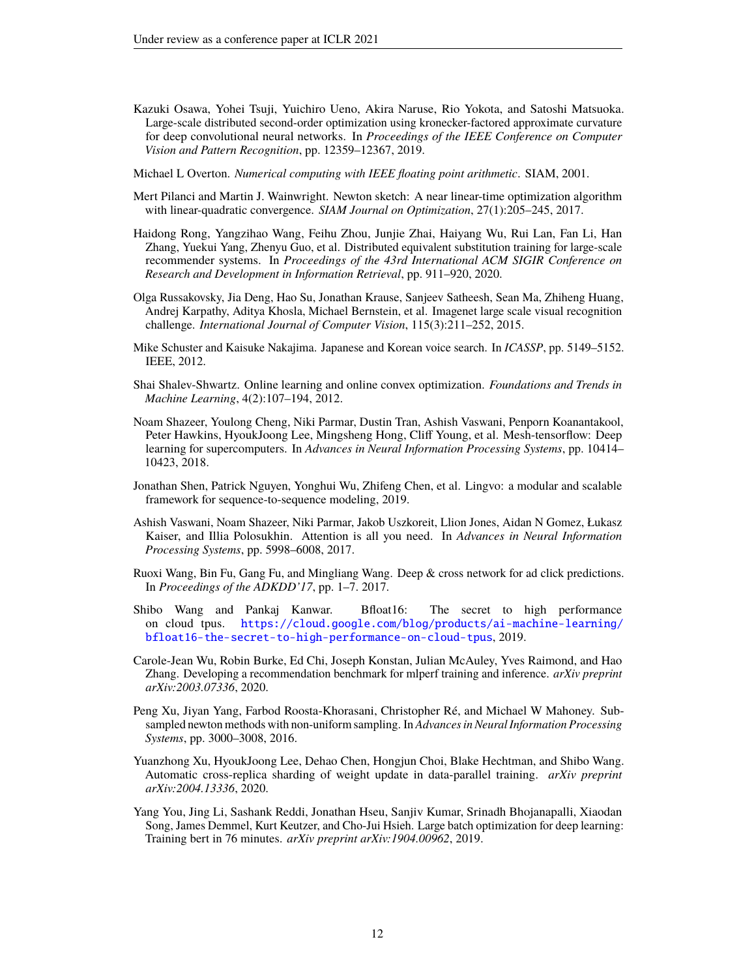- <span id="page-11-6"></span>Kazuki Osawa, Yohei Tsuji, Yuichiro Ueno, Akira Naruse, Rio Yokota, and Satoshi Matsuoka. Large-scale distributed second-order optimization using kronecker-factored approximate curvature for deep convolutional neural networks. In *Proceedings of the IEEE Conference on Computer Vision and Pattern Recognition*, pp. 12359–12367, 2019.
- <span id="page-11-15"></span>Michael L Overton. *Numerical computing with IEEE floating point arithmetic*. SIAM, 2001.
- <span id="page-11-5"></span>Mert Pilanci and Martin J. Wainwright. Newton sketch: A near linear-time optimization algorithm with linear-quadratic convergence. *SIAM Journal on Optimization*, 27(1):205–245, 2017.
- <span id="page-11-2"></span>Haidong Rong, Yangzihao Wang, Feihu Zhou, Junjie Zhai, Haiyang Wu, Rui Lan, Fan Li, Han Zhang, Yuekui Yang, Zhenyu Guo, et al. Distributed equivalent substitution training for large-scale recommender systems. In *Proceedings of the 43rd International ACM SIGIR Conference on Research and Development in Information Retrieval*, pp. 911–920, 2020.
- <span id="page-11-12"></span>Olga Russakovsky, Jia Deng, Hao Su, Jonathan Krause, Sanjeev Satheesh, Sean Ma, Zhiheng Huang, Andrej Karpathy, Aditya Khosla, Michael Bernstein, et al. Imagenet large scale visual recognition challenge. *International Journal of Computer Vision*, 115(3):211–252, 2015.
- <span id="page-11-10"></span>Mike Schuster and Kaisuke Nakajima. Japanese and Korean voice search. In *ICASSP*, pp. 5149–5152. IEEE, 2012.
- <span id="page-11-7"></span>Shai Shalev-Shwartz. Online learning and online convex optimization. *Foundations and Trends in Machine Learning*, 4(2):107–194, 2012.
- <span id="page-11-8"></span>Noam Shazeer, Youlong Cheng, Niki Parmar, Dustin Tran, Ashish Vaswani, Penporn Koanantakool, Peter Hawkins, HyoukJoong Lee, Mingsheng Hong, Cliff Young, et al. Mesh-tensorflow: Deep learning for supercomputers. In *Advances in Neural Information Processing Systems*, pp. 10414– 10423, 2018.
- <span id="page-11-9"></span>Jonathan Shen, Patrick Nguyen, Yonghui Wu, Zhifeng Chen, et al. Lingvo: a modular and scalable framework for sequence-to-sequence modeling, 2019.
- <span id="page-11-0"></span>Ashish Vaswani, Noam Shazeer, Niki Parmar, Jakob Uszkoreit, Llion Jones, Aidan N Gomez, Łukasz Kaiser, and Illia Polosukhin. Attention is all you need. In *Advances in Neural Information Processing Systems*, pp. 5998–6008, 2017.
- <span id="page-11-3"></span>Ruoxi Wang, Bin Fu, Gang Fu, and Mingliang Wang. Deep & cross network for ad click predictions. In *Proceedings of the ADKDD'17*, pp. 1–7. 2017.
- <span id="page-11-14"></span>Shibo Wang and Pankaj Kanwar. Bfloat16: The secret to high performance on cloud tpus. [https://cloud.google.com/blog/products/ai-machine-learning/](https://cloud.google.com/blog/products/ai-machine-learning/bfloat16-the-secret-to-high-performance-on-cloud-tpus) [bfloat16-the-secret-to-high-performance-on-cloud-tpus](https://cloud.google.com/blog/products/ai-machine-learning/bfloat16-the-secret-to-high-performance-on-cloud-tpus), 2019.
- <span id="page-11-11"></span>Carole-Jean Wu, Robin Burke, Ed Chi, Joseph Konstan, Julian McAuley, Yves Raimond, and Hao Zhang. Developing a recommendation benchmark for mlperf training and inference. *arXiv preprint arXiv:2003.07336*, 2020.
- <span id="page-11-4"></span>Peng Xu, Jiyan Yang, Farbod Roosta-Khorasani, Christopher Ré, and Michael W Mahoney. Subsampled newton methods with non-uniform sampling. In *Advances in Neural Information Processing Systems*, pp. 3000–3008, 2016.
- <span id="page-11-13"></span>Yuanzhong Xu, HyoukJoong Lee, Dehao Chen, Hongjun Choi, Blake Hechtman, and Shibo Wang. Automatic cross-replica sharding of weight update in data-parallel training. *arXiv preprint arXiv:2004.13336*, 2020.
- <span id="page-11-1"></span>Yang You, Jing Li, Sashank Reddi, Jonathan Hseu, Sanjiv Kumar, Srinadh Bhojanapalli, Xiaodan Song, James Demmel, Kurt Keutzer, and Cho-Jui Hsieh. Large batch optimization for deep learning: Training bert in 76 minutes. *arXiv preprint arXiv:1904.00962*, 2019.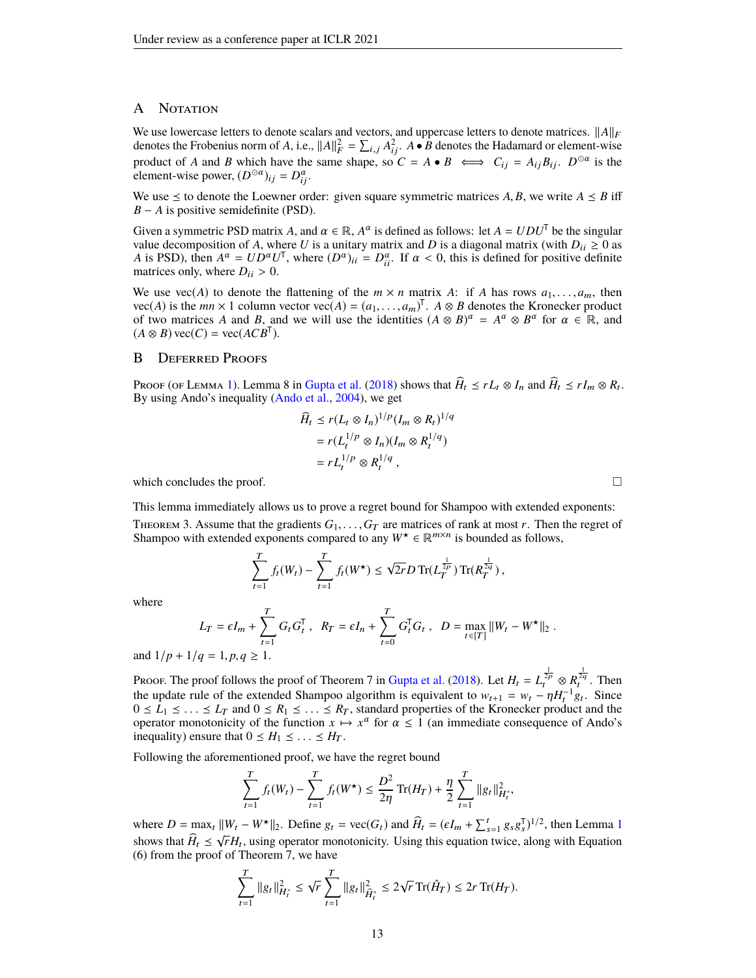## A NOTATION

We use lowercase letters to denote scalars and vectors, and uppercase letters to denote matrices.  $||A||_F$ denotes the Frobenius norm of *A*, i.e.,  $||A||_F^2 = \sum_{i,j} A_{ij}^2$ .  $A \bullet \overline{B}$  denotes the Hadamard or element-wise product of *A* and *B* which have the same shape, so  $C = A \cdot B \iff C_{ij} = A_{ij}B_{ij}$ .  $D^{\odot \alpha}$  is the element-wise power,  $(D^{\odot \alpha})_{ij} = D^{\alpha}_{ij}$ .

We use  $\leq$  to denote the Loewner order: given square symmetric matrices A, B, we write  $A \leq B$  iff *B* − *A* is positive semidefinite (PSD).

Given a symmetric PSD matrix *A*, and  $\alpha \in \mathbb{R}$ ,  $A^{\alpha}$  is defined as follows: let  $A = UDU^{\mathsf{T}}$  be the singular value decomposition of *A*, where *U* is a unitary matrix and *D* is a diagonal matrix (with  $D_{ii} \ge 0$  as *A* is PSD), then  $A^{\alpha} = UD^{\alpha}U^{\dagger}$ , where  $(D^{\alpha})_{ii} = D^{\alpha}_{ii}$ . If  $\alpha < 0$ , this is defined for positive definite matrices only where  $D_{ii} > 0$ matrices only, where  $D_{ii} > 0$ .

We use vec(*A*) to denote the flattening of the  $m \times n$  matrix *A*: if *A* has rows  $a_1, \ldots, a_m$ , then vec(*A*) is the *mn* × 1 column vector vec(*A*) =  $(a_1, \ldots, a_m)^T$ . *A* ⊗ *B* denotes the Kronecker product of two matrices *A* and *B* and we will use the identities  $(A \otimes B)^{\alpha} = A^{\alpha} \otimes B^{\alpha}$  for  $\alpha \in \mathbb{R}$  and of two matrices *A* and *B*, and we will use the identities  $(A \otimes B)^{\alpha} = A^{\alpha} \otimes B^{\alpha}$  for  $\alpha \in \mathbb{R}$ , and  $(A \otimes B) \text{ vec}(C) = \text{ vec}(ACB^T).$ 

## <span id="page-12-0"></span>B Deferred Proofs

Proof (of Lemma [1\)](#page-3-0). Lemma 8 in [Gupta et al.](#page-10-6) [\(2018\)](#page-10-6) shows that  $H_t \le rL_t \otimes I_n$  and  $H_t \le rI_m \otimes R_t$ . By using Ando's inequality [\(Ando et al.,](#page-9-14) [2004\)](#page-9-14), we get

$$
\widehat{H}_t \le r(L_t \otimes I_n)^{1/p} (I_m \otimes R_t)^{1/q}
$$

$$
= r(L_t^{1/p} \otimes I_n)(I_m \otimes R_t^{1/q})
$$

$$
= rL_t^{1/p} \otimes R_t^{1/q},
$$

which concludes the proof.  $\Box$ 

<span id="page-12-1"></span>This lemma immediately allows us to prove a regret bound for Shampoo with extended exponents: THEOREM 3. Assume that the gradients  $G_1, \ldots, G_T$  are matrices of rank at most *r*. Then the regret of Shampoo with extended exponents compared to any  $W^* \in \mathbb{R}^{m \times n}$  is bounded as follows,

$$
\sum_{t=1}^T f_t(W_t) - \sum_{t=1}^T f_t(W^{\star}) \leq \sqrt{2r} D \operatorname{Tr}(L_T^{\frac{1}{2p}}) \operatorname{Tr}(R_T^{\frac{1}{2q}}),
$$

where

$$
L_T = \epsilon I_m + \sum_{t=1}^T G_t G_t^{\mathsf{T}}, \quad R_T = \epsilon I_n + \sum_{t=0}^T G_t^{\mathsf{T}} G_t, \quad D = \max_{t \in [T]} ||W_t - W^{\star}||_2.
$$

and  $1/p + 1/q = 1, p, q \ge 1$ .

Proof. The proof follows the proof of Theorem 7 in [Gupta et al.](#page-10-6) [\(2018\)](#page-10-6). Let  $H_t = L_t^{\frac{1}{2p}} \otimes R_t^{\frac{1}{2q}}$ . Then the update rule of the extended Shampoo algorithm is equivalent to  $w_{t+1} = w_t - \eta H_t^{-1} g_t$ . Since  $0 \le L_1 \le \ldots \le L_T$  and  $0 \le R_1 \le \ldots \le R_T$ , standard properties of the Kronecker product and the operator monotonicity of the function  $x \mapsto x^{\alpha}$  for  $\alpha \leq 1$  (an immediate consequence of Ando's inequality) ensure that  $0 \le H_1 \le \ldots \le H_T$ .

Following the aforementioned proof, we have the regret bound

$$
\sum_{t=1}^{T} f_t(W_t) - \sum_{t=1}^{T} f_t(W^{\star}) \leq \frac{D^2}{2\eta} \operatorname{Tr}(H_T) + \frac{\eta}{2} \sum_{t=1}^{T} ||g_t||_{H_t^*}^2,
$$

where  $D = \max_t ||W_t - W^*||_2$ . Define  $g_t = \text{vec}(G_t)$  and  $\widehat{H}_t = (\epsilon I_m + \sum_{s=1}^t g_s g_s^T)^{1/2}$  $\widehat{H}_t = (\epsilon I_m + \sum_{s=1}^t g_s g_s^T)^{1/2}$  $\widehat{H}_t = (\epsilon I_m + \sum_{s=1}^t g_s g_s^T)^{1/2}$ , then Lemma 1 shows that  $H_t \le \sqrt{r}H_t$ , using operator monotonicity. Using this equation twice, along with Equation (6) from the proof of Theorem 7, we have

$$
\sum_{t=1}^T \|g_t\|_{H_t^*}^2 \leq \sqrt{r} \sum_{t=1}^T \|g_t\|_{\widehat{H}_t^*}^2 \leq 2\sqrt{r} \operatorname{Tr}(\hat{H}_T) \leq 2r \operatorname{Tr}(H_T).
$$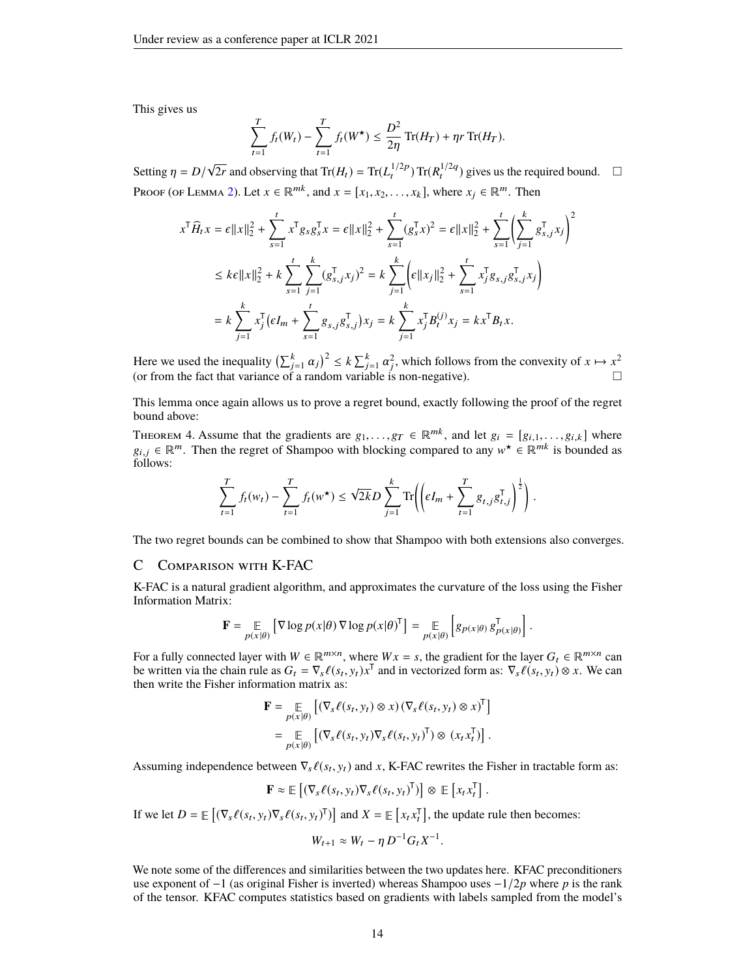This gives us

$$
\sum_{t=1}^{T} f_t(W_t) - \sum_{t=1}^{T} f_t(W^{\star}) \le \frac{D^2}{2\eta} \operatorname{Tr}(H_T) + \eta r \operatorname{Tr}(H_T).
$$

Setting  $\eta = D/$ √  $2r$  and observing that  $\text{Tr}(H_t) = \text{Tr}(L_t^{1/2p}) \text{Tr}(R_t^{1/2q})$  gives us the required bound.  $\square$ Proof (of Lemma [2\)](#page-3-2). Let  $x \in \mathbb{R}^{mk}$ , and  $x = [x_1, x_2, \dots, x_k]$ , where  $x_i \in \mathbb{R}^m$ . Then

$$
x^{\mathsf{T}}\widehat{H}_t x = \epsilon ||x||_2^2 + \sum_{s=1}^t x^{\mathsf{T}} g_s g_s^{\mathsf{T}} x = \epsilon ||x||_2^2 + \sum_{s=1}^t (g_s^{\mathsf{T}} x)^2 = \epsilon ||x||_2^2 + \sum_{s=1}^t \left( \sum_{j=1}^k g_{s,j}^{\mathsf{T}} x_j \right)^2
$$
  
\n
$$
\leq k\epsilon ||x||_2^2 + k \sum_{s=1}^t \sum_{j=1}^k (g_{s,j}^{\mathsf{T}} x_j)^2 = k \sum_{j=1}^k \left( \epsilon ||x_j||_2^2 + \sum_{s=1}^t x_j^{\mathsf{T}} g_{s,j} g_{s,j}^{\mathsf{T}} x_j \right)
$$
  
\n
$$
= k \sum_{j=1}^k x_j^{\mathsf{T}} \left( \epsilon I_m + \sum_{s=1}^t g_{s,j} g_{s,j}^{\mathsf{T}} \right) x_j = k \sum_{j=1}^k x_j^{\mathsf{T}} B_t^{(j)} x_j = k x^{\mathsf{T}} B_t x.
$$

Here we used the inequality  $\left(\sum_{j=1}^k \alpha_j\right)^2 \le k \sum_{j=1}^k \alpha_j^2$ , which follows from the convexity of  $x \mapsto x^2$ (or from the fact that variance of a random variable is non-negative).

This lemma once again allows us to prove a regret bound, exactly following the proof of the regret bound above:

<span id="page-13-1"></span>THEOREM 4. Assume that the gradients are  $g_1, \ldots, g_T \in \mathbb{R}^{mk}$ , and let  $g_i = [g_{i,1}, \ldots, g_{i,k}]$  where  $g_{i,j} \in \mathbb{R}^m$ . Then the regret of Shampoo with blocking compared to any  $w^* \in \mathbb{R}^{mk}$  is bounded as follows: follows:

$$
\sum_{t=1}^{T} f_t(w_t) - \sum_{t=1}^{T} f_t(w^*) \leq \sqrt{2k} D \sum_{j=1}^{k} \text{Tr} \left( \left( \epsilon I_m + \sum_{t=1}^{T} g_{t,j} g_{t,j}^{\mathsf{T}} \right)^{\frac{1}{2}} \right).
$$

<span id="page-13-0"></span>The two regret bounds can be combined to show that Shampoo with both extensions also converges.

### C Comparison with K-FAC

K-FAC is a natural gradient algorithm, and approximates the curvature of the loss using the Fisher Information Matrix:

$$
\mathbf{F} = \underset{p(x|\theta)}{\mathbb{E}} \left[ \nabla \log p(x|\theta) \, \nabla \log p(x|\theta)^\mathsf{T} \right] = \underset{p(x|\theta)}{\mathbb{E}} \left[ g_{p(x|\theta)} \, g_{p(x|\theta)}^\mathsf{T} \right].
$$

For a fully connected layer with  $W \in \mathbb{R}^{m \times n}$ , where  $Wx = s$ , the gradient for the layer  $G_t \in \mathbb{R}^{m \times n}$  can be written via the chain rule as  $G_t = \nabla_s \ell(s_t, y_t) x^{\mathsf{T}}$  and in vectorized form as:  $\nabla_s \ell(s_t, y_t) \otimes x$ . We can then write the Fisher information matrix as: then write the Fisher information matrix as:

$$
\mathbf{F} = \underset{p(x|\theta)}{\mathbb{E}} \left[ (\nabla_s \ell(s_t, y_t) \otimes x) (\nabla_s \ell(s_t, y_t) \otimes x)^{\mathsf{T}} \right]
$$
  
= 
$$
\underset{p(x|\theta)}{\mathbb{E}} \left[ (\nabla_s \ell(s_t, y_t) \nabla_s \ell(s_t, y_t)^{\mathsf{T}}) \otimes (x_t x_t^{\mathsf{T}}) \right].
$$

Assuming independence between  $\nabla_s \ell(s_t, y_t)$  and *x*, K-FAC rewrites the Fisher in tractable form as:

$$
\mathbf{F} \approx \mathbb{E}\left[ (\nabla_s \ell(s_t, y_t) \nabla_s \ell(s_t, y_t)^T) \right] \otimes \mathbb{E}\left[ x_t x_t^T \right].
$$

If we let  $D = \mathbb{E}\left[ (\nabla_s \ell(s_t, y_t) \nabla_s \ell(s_t, y_t)^\mathsf{T}) \right]$  and  $X = \mathbb{E}\left[ x_t x_t^\mathsf{T} \right]$ , the update rule then becomes:

$$
W_{t+1} \approx W_t - \eta D^{-1} G_t X^{-1}.
$$

We note some of the differences and similarities between the two updates here. KFAC preconditioners use exponent of −1 (as original Fisher is inverted) whereas Shampoo uses −1/2*p* where *p* is the rank of the tensor. KFAC computes statistics based on gradients with labels sampled from the model's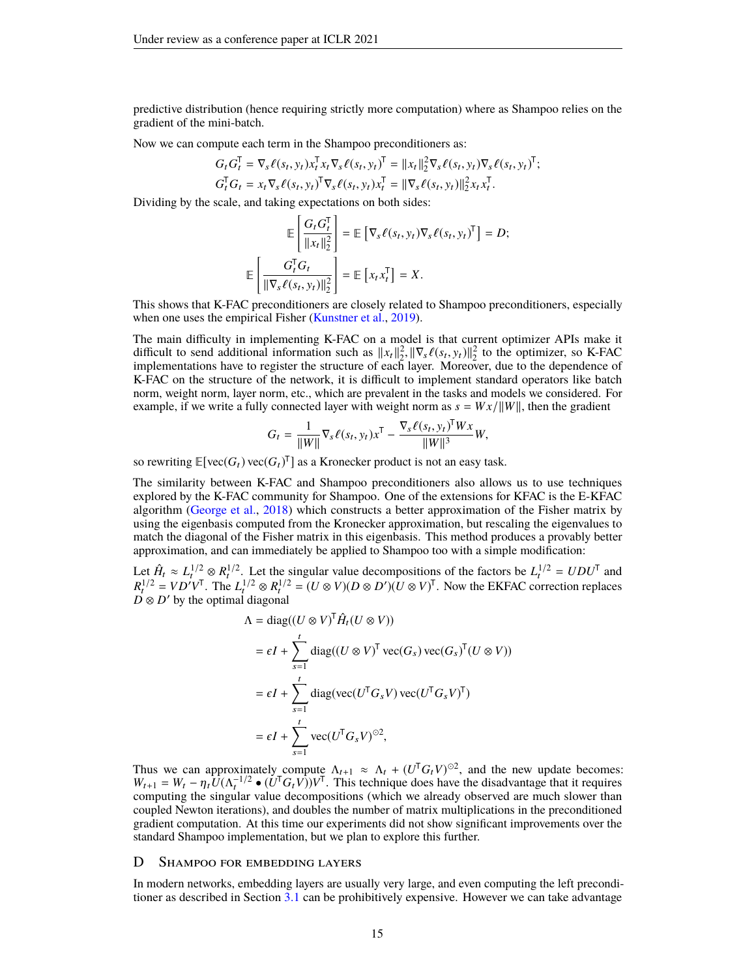predictive distribution (hence requiring strictly more computation) where as Shampoo relies on the gradient of the mini-batch.

Now we can compute each term in the Shampoo preconditioners as:

$$
G_t G_t^\mathsf{T} = \nabla_s \ell(s_t, y_t) x_t^\mathsf{T} x_t \nabla_s \ell(s_t, y_t)^\mathsf{T} = ||x_t||_2^2 \nabla_s \ell(s_t, y_t) \nabla_s \ell(s_t, y_t)^\mathsf{T};
$$
  
\n
$$
G_t^\mathsf{T} G_t = x_t \nabla_s \ell(s_t, y_t)^\mathsf{T} \nabla_s \ell(s_t, y_t) x_t^\mathsf{T} = ||\nabla_s \ell(s_t, y_t)||_2^2 x_t x_t^\mathsf{T}.
$$

 $G_t^{\mathsf{T}} G_t = x_t \nabla_s \ell(s_t, y_t)^{\mathsf{T}} \nabla_s \ell(s_t, y_t) x_t^{\mathsf{T}} = ||\nabla_s \ell||$ <br>Dividing by the scale, and taking expectations on both sides:

$$
\mathbb{E}\left[\frac{G_t G_t^{\mathsf{T}}}{\|x_t\|_2^2}\right] = \mathbb{E}\left[\nabla_s \ell(s_t, y_t) \nabla_s \ell(s_t, y_t)^{\mathsf{T}}\right] = D;
$$
\n
$$
\mathbb{E}\left[\frac{G_t^{\mathsf{T}} G_t}{\|\nabla_s \ell(s_t, y_t)\|_2^2}\right] = \mathbb{E}\left[x_t x_t^{\mathsf{T}}\right] = X.
$$

This shows that K-FAC preconditioners are closely related to Shampoo preconditioners, especially when one uses the empirical Fisher [\(Kunstner et al.,](#page-10-17) [2019\)](#page-10-17).

The main difficulty in implementing K-FAC on a model is that current optimizer APIs make it difficult to send additional information such as  $||x_t||_2^2$ ,  $||\nabla_s \ell(s_t, y_t)||_2^2$  to the optimizer, so K-FAC implementations have to register the structure of each layer. Moreover, due to the dependence of implementations have to register the structure of each layer. Moreover, due to the dependence of K-FAC on the structure of the network, it is difficult to implement standard operators like batch norm, weight norm, layer norm, etc., which are prevalent in the tasks and models we considered. For example, if we write a fully connected layer with weight norm as  $s = Wx/||W||$ , then the gradient

$$
G_t = \frac{1}{\|W\|} \nabla_s \ell(s_t, y_t) x^{\mathsf{T}} - \frac{\nabla_s \ell(s_t, y_t)^{\mathsf{T}} W x}{\|W\|^3} W,
$$

so rewriting  $\mathbb{E}[\text{vec}(G_t)\text{vec}(G_t)^T]$  as a Kronecker product is not an easy task.

The similarity between K-FAC and Shampoo preconditioners also allows us to use techniques explored by the K-FAC community for Shampoo. One of the extensions for KFAC is the E-KFAC algorithm [\(George et al.,](#page-9-15) [2018\)](#page-9-15) which constructs a better approximation of the Fisher matrix by using the eigenbasis computed from the Kronecker approximation, but rescaling the eigenvalues to match the diagonal of the Fisher matrix in this eigenbasis. This method produces a provably better approximation, and can immediately be applied to Shampoo too with a simple modification:

Let  $\hat{H}_t \approx L_t^{1/2} \otimes R_t^{1/2}$ . Let the singular value decompositions of the factors be  $L_t^{1/2} = UDU^{\mathsf{T}}$  and  $R_t^{1/2} = V D' V^{\mathsf{T}}$ . The  $L_t^{1/2} \otimes R_t^{1/2} = (U \otimes V)(D \otimes D')(U \otimes V)^{\mathsf{T}}$ . Now the EKFAC correction replaces  $\overline{D} \otimes D'$  by the optimal diagonal

$$
\Lambda = \text{diag}((U \otimes V)^{\mathsf{T}} \hat{H}_t (U \otimes V))
$$
\n
$$
= \epsilon I + \sum_{s=1}^t \text{diag}((U \otimes V)^{\mathsf{T}} \text{vec}(G_s) \text{vec}(G_s)^{\mathsf{T}} (U \otimes V))
$$
\n
$$
= \epsilon I + \sum_{s=1}^t \text{diag}(\text{vec}(U^{\mathsf{T}} G_s V) \text{vec}(U^{\mathsf{T}} G_s V)^{\mathsf{T}})
$$
\n
$$
= \epsilon I + \sum_{s=1}^t \text{vec}(U^{\mathsf{T}} G_s V)^{\odot 2},
$$

Thus we can approximately compute  $\Lambda_{t+1} \approx \Lambda_t + (U^{\mathsf{T}} G_t V)^{\odot 2}$ , and the new update becomes:  $W_{t+1} = W_t - \eta_t U (\Lambda_t^{-1/2} \bullet (\dot{U}^T G_t V)) V^T$ . This technique does have the disadvantage that it requires computing the singular value decompositions (which we already observed are much slower than coupled Newton iterations), and doubles the number of matrix multiplications in the preconditioned gradient computation. At this time our experiments did not show significant improvements over the standard Shampoo implementation, but we plan to explore this further.

#### <span id="page-14-0"></span>D SHAMPOO FOR EMBEDDING LAYERS

In modern networks, embedding layers are usually very large, and even computing the left preconditioner as described in Section [3.1](#page-3-1) can be prohibitively expensive. However we can take advantage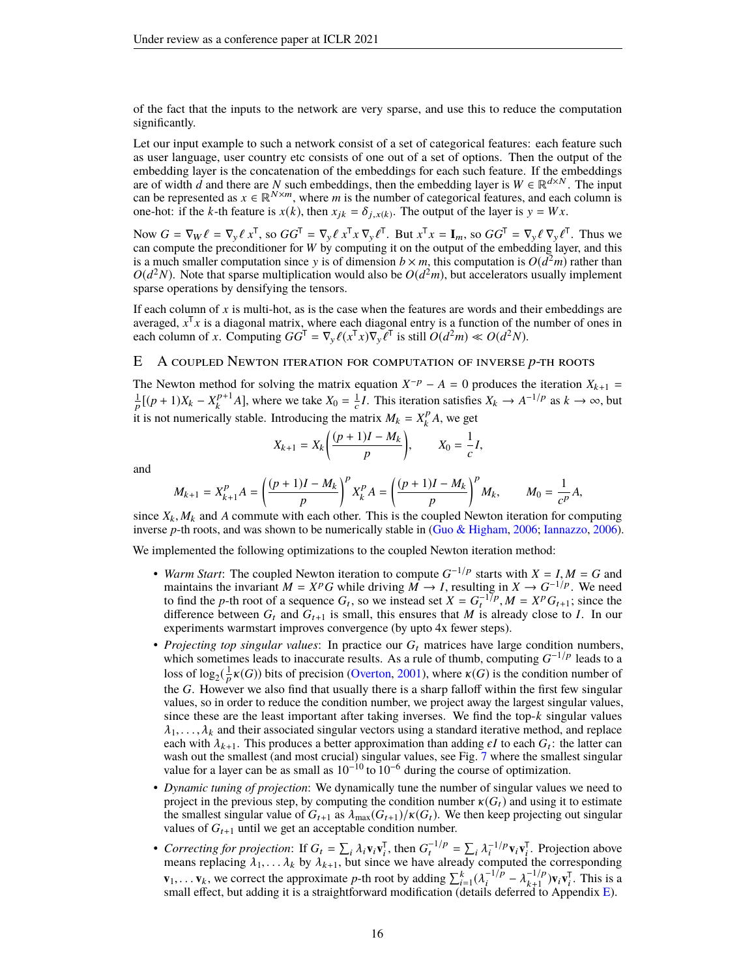of the fact that the inputs to the network are very sparse, and use this to reduce the computation significantly.

Let our input example to such a network consist of a set of categorical features: each feature such as user language, user country etc consists of one out of a set of options. Then the output of the embedding layer is the concatenation of the embeddings for each such feature. If the embeddings are of width *d* and there are *N* such embeddings, then the embedding layer is  $W \in \mathbb{R}^{d \times N}$ . The input can be represented as  $x \in \mathbb{R}^{N \times m}$ , where *m* is the number of categorical features, and each column is one-hot: if the *k*-th feature is  $x(k)$ , then  $x_{jk} = \delta_{j,x(k)}$ . The output of the layer is  $y = Wx$ .

Now  $G = \nabla_W \ell = \nabla_y \ell x^{\mathsf{T}}$ , so  $GG^{\mathsf{T}} = \nabla_y \ell x^{\mathsf{T}} x \nabla_y \ell^{\mathsf{T}}$ . But  $x^{\mathsf{T}} x = \mathbf{I}_m$ , so  $GG^{\mathsf{T}} = \nabla_y \ell \nabla_y \ell^{\mathsf{T}}$ . Thus we can compute the preconditioner for *W* by computing it on the output of the embedding layer, and this is a much smaller computation since y is of dimension  $b \times m$ , this computation is  $O(d^2m)$  rather than  $O(d^2N)$ . Note that sparse multiplication would also be  $O(d^2m)$ , but accelerators usually implement sparse operations by densifying the tensors.

If each column of *x* is multi-hot, as is the case when the features are words and their embeddings are averaged, *x* T *x* is a diagonal matrix, where each diagonal entry is a function of the number of ones in each column of *x*. Computing  $GG^{\mathsf{T}} = \nabla_{\mathbf{y}} \ell(x^{\mathsf{T}} x) \nabla_{\mathbf{y}} \ell^{\mathsf{T}}$  is still  $O(d^2m) \ll O(d^2N)$ .

# <span id="page-15-0"></span>E A coupled Newton iteration for computation of inverse *p*-th roots

The Newton method for solving the matrix equation  $X^{-p} - A = 0$  produces the iteration  $X_{k+1} =$  $\frac{1}{p}[(p+1)X_k - X_k^{p+1}]$  $\frac{p+1}{k}A$ , where we take  $X_0 = \frac{1}{c}I$ . This iteration satisfies  $X_k \to A^{-1/p}$  as  $k \to \infty$ , but it is not numerically stable. Introducing the matrix  $M_k = X_k^p$  $\int_k^p A$ , we get

$$
X_{k+1} = X_k \bigg( \frac{(p+1)I - M_k}{p} \bigg), \qquad X_0 = \frac{1}{c} I,
$$

and

$$
M_{k+1} = X_{k+1}^P A = \left(\frac{(p+1)I - M_k}{p}\right)^P X_k^P A = \left(\frac{(p+1)I - M_k}{p}\right)^P M_k, \qquad M_0 = \frac{1}{c^P} A,
$$

since  $X_k$ ,  $M_k$  and A commute with each other. This is the coupled Newton iteration for computing inverse *p*-th roots, and was shown to be numerically stable in [\(Guo & Higham,](#page-10-11) [2006;](#page-10-11) [Iannazzo,](#page-10-12) [2006\)](#page-10-12).

We implemented the following optimizations to the coupled Newton iteration method:

- *Warm Start*: The coupled Newton iteration to compute *G* −1/p *Warm Start*: The coupled Newton iteration to compute  $G^{-1/p}$  starts with  $X = I, M = G$  and maintains the invariant  $M = X^p G$  while driving  $M \to I$ , resulting in  $X \to G^{-1/p}$ . We need to find the *p*-th root of a sequence  $G_t$ , so we instead set  $X = G_t^{-1/p}$ ,  $M = X^p G_{t+1}$ ; since the difference between  $G_t$  and  $G_{t+1}$  is small, this ensures that M is already close to I. In our difference between  $G_t$  and  $G_{t+1}$  is small, this ensures that *M* is already close to *I*. In our experiments warmstart improves convergence (by upto 4x fewer steps).
- *Projecting top singular values*: In practice our  $G_t$  matrices have large condition numbers, which sometimes leads to inaccurate results. As a rule of thumb, computing  $G^{-1/p}$  leads to a loss of log<sub>2</sub>( $\frac{1}{p}$  $\kappa(G)$ **)** bits of precision [\(Overton,](#page-11-15) [2001\)](#page-11-15), where  $\kappa(G)$  is the condition number of the *G*. However we also find that usually there is a sharp falloff within the first few singular values, so in order to reduce the condition number, we project away the largest singular values, since these are the least important after taking inverses. We find the top- $k$  singular values  $\lambda_1, \ldots, \lambda_k$  and their associated singular vectors using a standard iterative method, and replace each with  $\lambda_{k+1}$ . This produces a better approximation than adding  $\epsilon I$  to each  $G_t$ : the latter can wash out the smallest (and most crucial) singular values, see Fig. [7](#page-18-0) where the smallest singular value for a layer can be as small as  $10^{-10}$  to  $10^{-6}$  during the course of optimization.
- *Dynamic tuning of projection*: We dynamically tune the number of singular values we need to project in the previous step, by computing the condition number  $\kappa(G_t)$  and using it to estimate the smallest singular value of  $G_{t+1}$  as  $\lambda_{\text{max}}(G_{t+1})/\kappa(G_t)$ . We then keep projecting out singular values of  $G_{t+1}$  until we get an acceptable condition number.
- *Correcting for projection*: If  $G_t = \sum_i \lambda_i \mathbf{v}_i \mathbf{v}_i^{\mathsf{T}}$ , then  $G_t^{-1/p} = \sum_i \lambda_i^{-1/p} \mathbf{v}_i \mathbf{v}_i^{\mathsf{T}}$ . Projection above means replacing  $\lambda_1, \ldots, \lambda_k$  by  $\lambda_{k+1}$ , but since we have already computed the corresponding **v**<sub>1</sub>, . . . **v**<sub>k</sub>, we correct the approximate *p*-th root by adding  $\sum_{i=1}^{k} (\lambda_i^{-1/p})$  and effect but adding it is a straightforward modification (details de  $\lambda_{i}^{-1/p} - \lambda_{k+1}^{-1/p}$  $\sum_{k+1}^{-1/p}$ )**v**<sub>i</sub>**v**<sub>i</sub><sup>T</sup>. This is a small effect, but adding it is a straightforward modification (details deferred to Appendix [E\)](#page-15-0).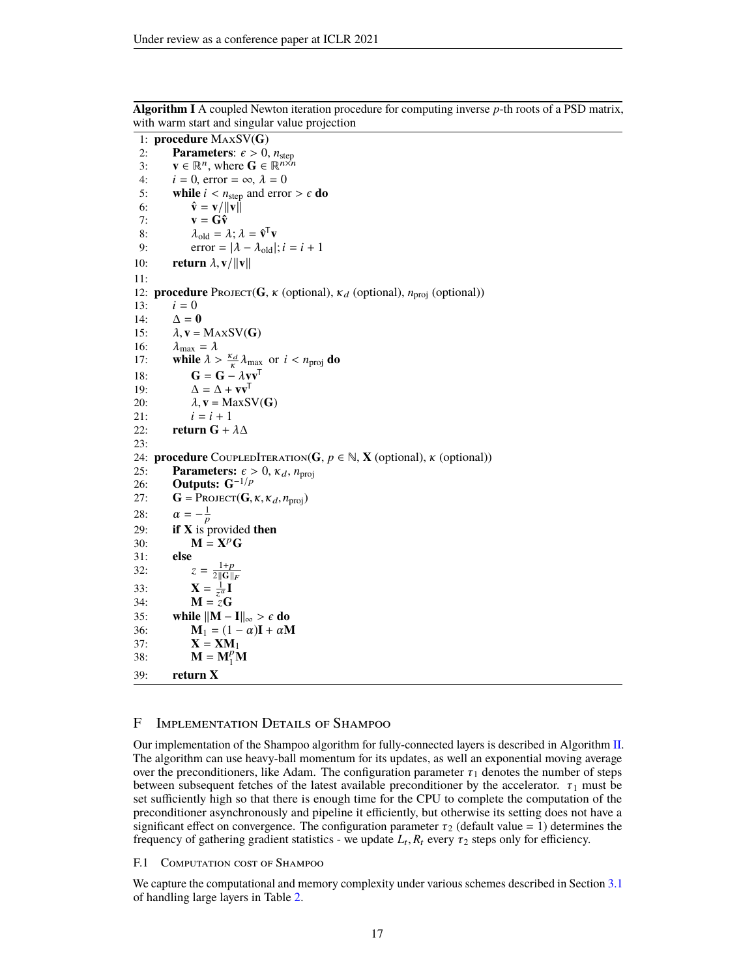```
1: procedure MaxSV(G)
  2: Parameters: \epsilon > 0, n_{\text{step}}<br>3: \mathbf{v} \in \mathbb{R}^n, where \mathbf{G} \in \mathbb{R}^{n \times n}3: \mathbf{v} \in \mathbb{R}^n, where \mathbf{G} \in \mathbb{R}^{n \times n}4: i = 0, error = \infty, \lambda = 0<br>5: while i < n_{\text{sten}} and error
  5: while i < n_{step} and error > \epsilon do<br>6: \hat{\mathbf{v}} = \mathbf{v}/||\mathbf{v}||\hat{\mathbf{v}} = \mathbf{v}/\|\mathbf{v}\|7: \mathbf{v} = \mathbf{G}\mathbf{\hat{v}}8: \lambda_{\text{old}} = \lambda; \lambda = \hat{\mathbf{v}}^{\mathsf{T}} \mathbf{v}9: error = |\lambda - \lambda_{old}|; i = i + 110: return \lambda, v/\|\mathbf{v}\|11:
12: procedure Project(G, κ (optional), \kappa_d (optional), n<sub>proj</sub> (optional))<br>13: i = 0i = 014: \Delta = 015: \lambda, v = MAXSV(G)<br>16: \lambda_{\text{max}} = \lambda16: \lambda_{\text{max}} = \lambda<br>17: while \lambda >17: while \lambda > \frac{\kappa_d}{\kappa} \lambda_{\text{max}} or i < n_{\text{proj}} do
18: G = G -\lambda v v^T19: \Delta = \Delta + \mathbf{v}\mathbf{v}^{\mathsf{T}}20: \lambda, v = MaxSV(G)<br>21: i = i + 1i = i + 122: return G + \lambda \Delta23:
24: procedure COUPLEDITERATION(G, p \in \mathbb{N}, X (optional), \kappa (optional))
25: Parameters: \epsilon > 0, \kappa_d, n<sub>proj</sub><br>26: Outputs: G^{-1/p}26: Outputs: G−1/p
27: G = PROJECT(G, \kappa, \kappa_d, n_{\text{proj}})<br>28: \alpha = -\frac{1}{n}28: \alpha = -\frac{1}{p}29: if X is provided then
30: \mathbf{M} = \mathbf{X}^p \mathbf{G}31: else
32: z = \frac{1+p}{2\|\mathbf{G}\|_F}1+p33: \mathbf{X} = \frac{1}{z^{\alpha}} \mathbf{I}34: \mathbf{M} = \mathbf{\tilde{z}}\mathbf{G}35: while \|\mathbf{M} - \mathbf{I}\|_{\infty} > \epsilon do<br>36: M<sub>1</sub> = (1 - \alpha)\mathbf{I} + \alpha\mathbf{M}M_1 = (1 - \alpha)I + \alpha M37: X = XM<sub>1</sub>
38: M = M_1^p M39: return X
```
**Algorithm I** A coupled Newton iteration procedure for computing inverse *p*-th roots of a PSD matrix, with warm start and singular value projection

#### F IMPLEMENTATION DETAILS OF SHAMPOO

Our implementation of the Shampoo algorithm for fully-connected layers is described in Algorithm [II.](#page-17-2) The algorithm can use heavy-ball momentum for its updates, as well an exponential moving average over the preconditioners, like Adam. The configuration parameter  $\tau_1$  denotes the number of steps between subsequent fetches of the latest available preconditioner by the accelerator.  $\tau_1$  must be set sufficiently high so that there is enough time for the CPU to complete the computation of the preconditioner asynchronously and pipeline it efficiently, but otherwise its setting does not have a significant effect on convergence. The configuration parameter  $\tau_2$  (default value = 1) determines the frequency of gathering gradient statistics - we update  $L_t$ ,  $R_t$  every  $\tau_2$  steps only for efficiency.

F.1 COMPUTATION COST OF SHAMPOO

<span id="page-16-0"></span>We capture the computational and memory complexity under various schemes described in Section [3.1](#page-3-1) of handling large layers in Table [2.](#page-17-1)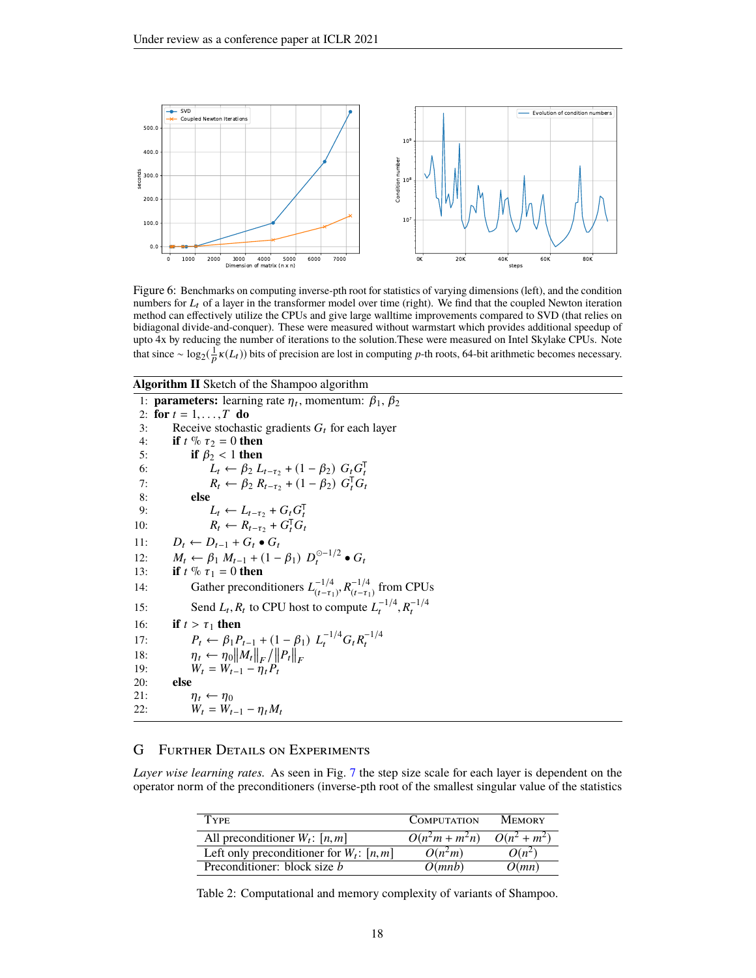<span id="page-17-0"></span>

Figure 6: Benchmarks on computing inverse-pth root for statistics of varying dimensions (left), and the condition numbers for  $L_t$  of a layer in the transformer model over time (right). We find that the coupled Newton iteration method can effectively utilize the CPUs and give large walltime improvements compared to SVD (that relies on bidiagonal divide-and-conquer). These were measured without warmstart which provides additional speedup of upto 4x by reducing the number of iterations to the solution.These were measured on Intel Skylake CPUs. Note that since ~  $\log_2(\frac{1}{p}\kappa(L_t))$  bits of precision are lost in computing *p*-th roots, 64-bit arithmetic becomes necessary.

#### <span id="page-17-2"></span>**Algorithm II** Sketch of the Shampoo algorithm

1: **parameters:** learning rate  $\eta_t$ , momentum:  $\beta_1$ ,  $\beta_2$ 2: **for**  $t = 1, \ldots, T$  **do**<br>3: Receive stochas 3: Receive stochastic gradients  $G_t$  for each layer<br>4: **if**  $t \, \%$   $\tau_2 = 0$  **then** 4: **if**  $t \% \tau_2 = 0$  **then**<br>5: **if**  $\beta_2 < 1$  **then** 5: **if** *β*<sub>2</sub> < 1 **then**<br>
6: *L*<sub>t</sub> ← *β*<sub>2</sub> *L*<sub>t−τ<sub>2</sub></sub> + (1 − *β*<sub>2</sub>) *G*<sub>t</sub> *G*<sub>t</sub><br>
7: *R*<sub>t</sub> ← *β*<sub>2</sub> *R*<sub>t−τ<sub>2</sub></sub> + (1 − *β*<sub>2</sub>) *G*<sub>t</sub><sup>T</sup>*G*<sub>t</sub> 8: **else** 9:  $L_t \leftarrow L_{t-\tau_2} + G_t G_t^{\mathsf{T}}$ 10:  $R_t \leftarrow R_{t-\tau_2} + G_t^{\mathsf{T}} G_t$ 11:  $D_t \leftarrow D_{t-1} + G_t \bullet G_t$ 12:  $M_t$  ←  $\beta_1 M_{t-1} + (1 - \beta_1) D_t^{\odot -1/2} \bullet G_t$ 13: **if**  $t \% \tau_1 = 0$  **then** 14: Gather preconditioners  $L_{t-\tau}^{-1/4}$  $\frac{-1}{4}$ , *R*<sup>-1/4</sup><br>  $\frac{(t-\tau_1)}{(t-\tau_1)}$  $\frac{(-1)^4}{(t-\tau_1)}$  from CPUs 15: Send  $L_t$ ,  $R_t$  to CPU host to compute  $L_t^{-1/4}$ ,  $R_t^{-1/4}$ 16: **if**  $t > \tau_1$  **then**<br>
17:  $P_t \leftarrow \beta_1 P_{t-1} + (1 - \beta_1) L_t^{-1/4} G_t R_t^{-1/4}$ <br>
18:  $\eta_t \leftarrow \eta_0 ||M_t||_F / ||P_t||_F$ <br>
19:  $W_t = W_{t-1} - \eta_t P_t$ 20: **else** 21:  $\eta_t \leftarrow \eta_0$ 22:  $\ddot{W}_t = \ddot{W}_{t-1} - \eta_t M_t$ 

# G Further Details on Experiments

<span id="page-17-1"></span>*Layer wise learning rates.* As seen in Fig. [7](#page-18-0) the step size scale for each layer is dependent on the operator norm of the preconditioners (inverse-pth root of the smallest singular value of the statistics

| Type                                        | <b>COMPUTATION</b> | <b>MEMORY</b>           |
|---------------------------------------------|--------------------|-------------------------|
| All preconditioner $W_t$ : [n, m]           | $O(n^2m + m^2n)$   | $\overline{O(n^2+m^2)}$ |
| Left only preconditioner for $W_t$ : [n, m] | $O(n^2m)$          | $O(n^2)$                |
| Preconditioner: block size <i>b</i>         | O(mnb)             | O(mn)                   |

Table 2: Computational and memory complexity of variants of Shampoo.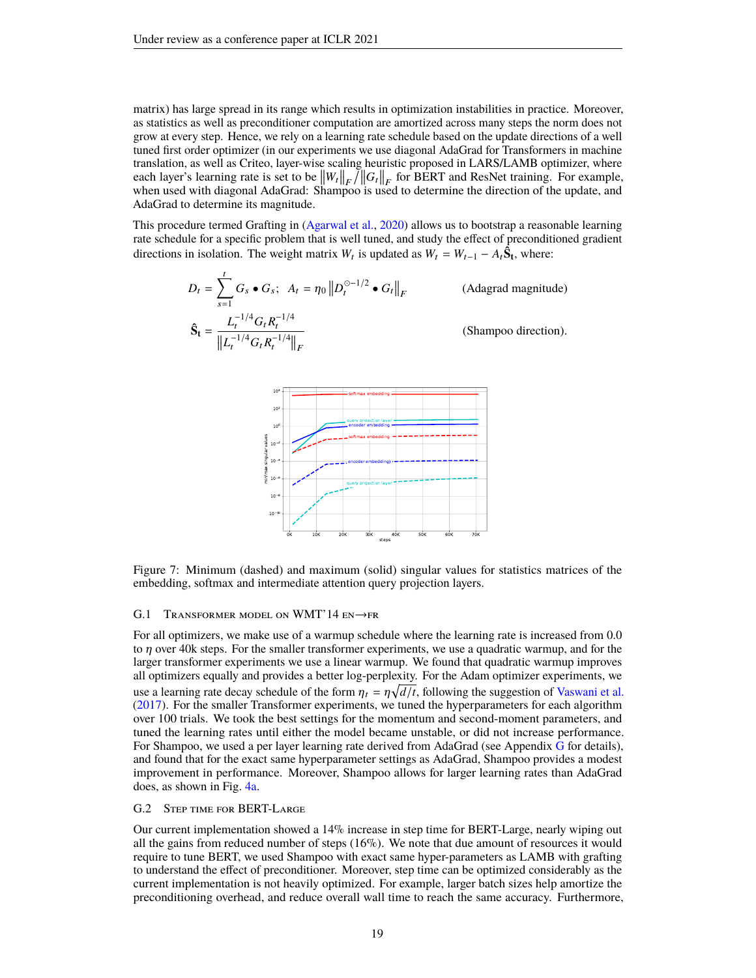matrix) has large spread in its range which results in optimization instabilities in practice. Moreover, as statistics as well as preconditioner computation are amortized across many steps the norm does not grow at every step. Hence, we rely on a learning rate schedule based on the update directions of a well tuned first order optimizer (in our experiments we use diagonal AdaGrad for Transformers in machine translation, as well as Criteo, layer-wise scaling heuristic proposed in LARS/LAMB optimizer, where each layer's learning rate is set to be  $\|W_t\|_F / \|G_t\|_F$  for BERT and ResNet training. For example, when used with diagonal AdaGrad: Shampoo is used to determine the direction of the update, and AdaGrad to determine its magnitude.

This procedure termed Grafting in [\(Agarwal et al.,](#page-9-16) [2020\)](#page-9-16) allows us to bootstrap a reasonable learning rate schedule for a specific problem that is well tuned, and study the effect of preconditioned gradient directions in isolation. The weight matrix  $W_t$  is updated as  $W_t = W_{t-1} - A_t \hat{S}_t$ , where:

$$
D_t = \sum_{s=1}^t G_s \bullet G_s; \quad A_t = \eta_0 \left\| D_t^{0-1/2} \bullet G_t \right\|_F
$$
 (Adagrad magnitude)  

$$
\hat{\mathbf{S}}_t = \frac{L_t^{-1/4} G_t R_t^{-1/4}}{\left\| L_t^{-1/4} G_t R_t^{-1/4} \right\|_F}
$$
 (Shampoo direction).

<span id="page-18-0"></span>

Figure 7: Minimum (dashed) and maximum (solid) singular values for statistics matrices of the embedding, softmax and intermediate attention query projection layers.

#### G.1 TRANSFORMER MODEL ON WMT'14  $EN \rightarrow FR$

For all optimizers, we make use of a warmup schedule where the learning rate is increased from 0.0 to *η* over 40k steps. For the smaller transformer experiments, we use a quadratic warmup, and for the larger transformer experiments we use a linear warmup. We found that quadratic warmup improves all optimizers equally and provides a better log-perplexity. For the Adam optimizer experiments, we use a learning rate decay schedule of the form  $\eta_t = \eta \sqrt{d/t}$ , following the suggestion of [Vaswani et al.](#page-11-0) [\(2017\)](#page-11-0). For the smaller Transformer experiments, we tuned the hyperparameters for each algorithm over 100 trials. We took the best settings for the momentum and second-moment parameters, and tuned the learning rates until either the model became unstable, or did not increase performance. For Shampoo, we used a per layer learning rate derived from Ada[G](#page-16-0)rad (see Appendix  $\overline{G}$  for details), and found that for the exact same hyperparameter settings as AdaGrad, Shampoo provides a modest improvement in performance. Moreover, Shampoo allows for larger learning rates than AdaGrad does, as shown in Fig. [4a.](#page-7-1)

# G.2 Step time for BERT-Large

Our current implementation showed a 14% increase in step time for BERT-Large, nearly wiping out all the gains from reduced number of steps  $(16\%)$ . We note that due amount of resources it would require to tune BERT, we used Shampoo with exact same hyper-parameters as LAMB with grafting to understand the effect of preconditioner. Moreover, step time can be optimized considerably as the current implementation is not heavily optimized. For example, larger batch sizes help amortize the preconditioning overhead, and reduce overall wall time to reach the same accuracy. Furthermore,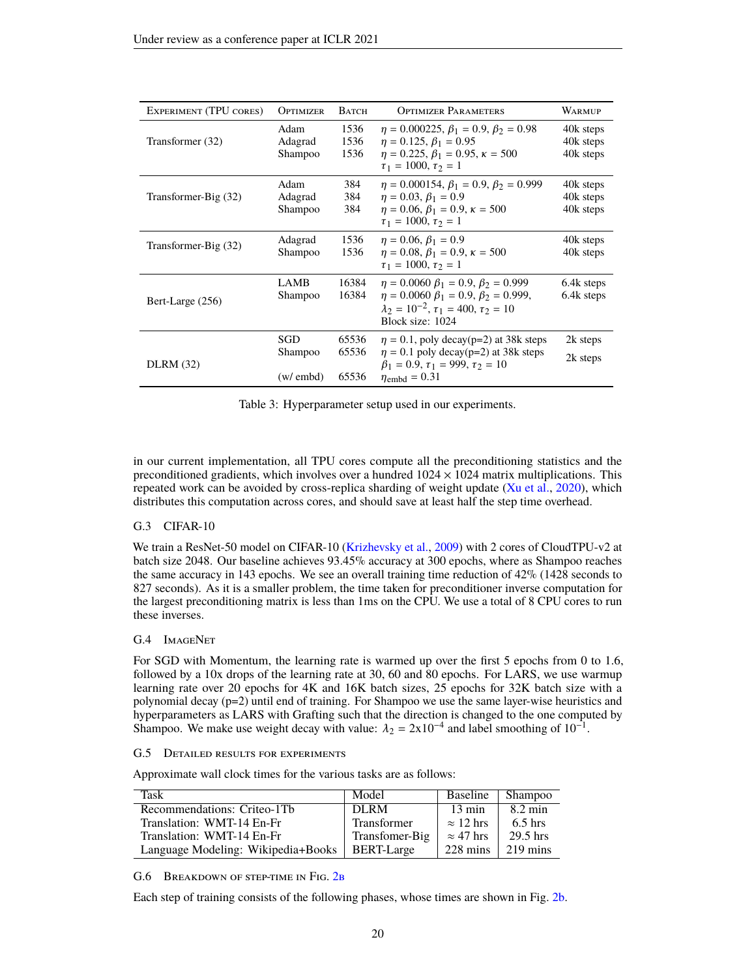| EXPERIMENT (TPU CORES) | OPTIMIZER                  | Ватсн                   | <b>OPTIMIZER PARAMETERS</b>                                                                                                                                                     | <b>WARMUP</b>                       |
|------------------------|----------------------------|-------------------------|---------------------------------------------------------------------------------------------------------------------------------------------------------------------------------|-------------------------------------|
| Transformer (32)       | Adam<br>Adagrad<br>Shampoo | 1536<br>1536<br>1536    | $\eta = 0.000225, \beta_1 = 0.9, \beta_2 = 0.98$<br>$\eta = 0.125, \beta_1 = 0.95$<br>$\eta = 0.225, \beta_1 = 0.95, \kappa = 500$<br>$\tau_1 = 1000, \tau_2 = 1$               | 40k steps<br>40k steps<br>40k steps |
| Transformer-Big (32)   | Adam<br>Adagrad<br>Shampoo | 384<br>384<br>384       | $\eta = 0.000154, \beta_1 = 0.9, \beta_2 = 0.999$<br>$\eta = 0.03, \beta_1 = 0.9$<br>$\eta = 0.06, \beta_1 = 0.9, \kappa = 500$<br>$\tau_1 = 1000, \tau_2 = 1$                  | 40k steps<br>40k steps<br>40k steps |
| Transformer-Big (32)   | Adagrad<br>Shampoo         | 1536<br>1536            | $\eta = 0.06, \beta_1 = 0.9$<br>$\eta = 0.08, \beta_1 = 0.9, \kappa = 500$<br>$\tau_1 = 1000, \tau_2 = 1$                                                                       | 40k steps<br>40k steps              |
| Bert-Large (256)       | <b>LAMB</b><br>Shampoo     | 16384<br>16384          | $\eta = 0.0060 \beta_1 = 0.9, \beta_2 = 0.999$<br>$\eta = 0.0060 \beta_1 = 0.9, \beta_2 = 0.999,$<br>$\lambda_2 = 10^{-2}$ , $\tau_1 = 400$ , $\tau_2 = 10$<br>Block size: 1024 | 6.4k steps<br>6.4k steps            |
| <b>DLRM</b> (32)       | SGD<br>Shampoo<br>(w/embd) | 65536<br>65536<br>65536 | $\eta = 0.1$ , poly decay(p=2) at 38k steps<br>$\eta = 0.1$ poly decay(p=2) at 38k steps<br>$\beta_1 = 0.9$ , $\tau_1 = 999$ , $\tau_2 = 10$<br>$\eta_{\text{embd}} = 0.31$     | 2k steps<br>2k steps                |

Table 3: Hyperparameter setup used in our experiments.

in our current implementation, all TPU cores compute all the preconditioning statistics and the preconditioned gradients, which involves over a hundred  $1024 \times 1024$  matrix multiplications. This repeated work can be avoided by cross-replica sharding of weight update  $(Xu$  et al.,  $2020$ ), which distributes this computation across cores, and should save at least half the step time overhead.

## <span id="page-19-0"></span>G.3 CIFAR-10

We train a ResNet-50 model on CIFAR-10 [\(Krizhevsky et al.,](#page-10-18) [2009\)](#page-10-18) with 2 cores of CloudTPU-v2 at batch size 2048. Our baseline achieves 93.45% accuracy at 300 epochs, where as Shampoo reaches the same accuracy in 143 epochs. We see an overall training time reduction of 42% (1428 seconds to 827 seconds). As it is a smaller problem, the time taken for preconditioner inverse computation for the largest preconditioning matrix is less than 1ms on the CPU. We use a total of 8 CPU cores to run these inverses.

#### <span id="page-19-2"></span>G.4 IMAGENET

For SGD with Momentum, the learning rate is warmed up over the first 5 epochs from 0 to 1.6, followed by a 10x drops of the learning rate at 30, 60 and 80 epochs. For LARS, we use warmup learning rate over 20 epochs for 4K and 16K batch sizes, 25 epochs for 32K batch size with a polynomial decay (p=2) until end of training. For Shampoo we use the same layer-wise heuristics and hyperparameters as LARS with Grafting such that the direction is changed to the one computed by Shampoo. We make use weight decay with value:  $\lambda_2 = 2 \times 10^{-4}$  and label smoothing of 10<sup>-1</sup>.

G.5 Detailed results for experiments

Approximate wall clock times for the various tasks are as follows:

| Task                               | Model          | <b>Baseline</b>    | Shampoo            |
|------------------------------------|----------------|--------------------|--------------------|
| Recommendations: Criteo-1Tb        | DLRM           | $13 \text{ min}$   | $8.2 \text{ min}$  |
| Translation: WMT-14 En-Fr          | Transformer    | $\approx$ 12 hrs   | $6.5$ hrs          |
| Translation: WMT-14 En-Fr          | Transfomer-Big | $\approx$ 47 hrs   | $29.5$ hrs         |
| Language Modeling: Wikipedia+Books | BERT-Large     | $228 \text{ mins}$ | $219 \text{ mins}$ |

<span id="page-19-1"></span>G.6 BREAKDOWN OF STEP-TIME IN FIG. 2B

Each step of training consists of the following phases, whose times are shown in Fig. [2b.](#page-6-0)